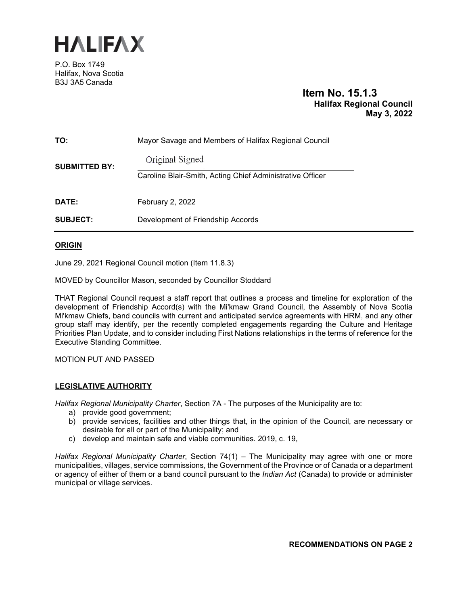

P.O. Box 1749 Halifax, Nova Scotia B3J 3A5 Canada

# **Item No. 15.1.3 Halifax Regional Council May 3, 2022**

| TO:                  | Mayor Savage and Members of Halifax Regional Council                         |
|----------------------|------------------------------------------------------------------------------|
| <b>SUBMITTED BY:</b> | Original Signed<br>Caroline Blair-Smith, Acting Chief Administrative Officer |
| DATE:                | February 2, 2022                                                             |
| <b>SUBJECT:</b>      | Development of Friendship Accords                                            |

### **ORIGIN**

June 29, 2021 Regional Council motion (Item 11.8.3)

MOVED by Councillor Mason, seconded by Councillor Stoddard

THAT Regional Council request a staff report that outlines a process and timeline for exploration of the development of Friendship Accord(s) with the Mi'kmaw Grand Council, the Assembly of Nova Scotia Mi'kmaw Chiefs, band councils with current and anticipated service agreements with HRM, and any other group staff may identify, per the recently completed engagements regarding the Culture and Heritage Priorities Plan Update, and to consider including First Nations relationships in the terms of reference for the Executive Standing Committee.

MOTION PUT AND PASSED

#### **LEGISLATIVE AUTHORITY**

*Halifax Regional Municipality Charter*, Section 7A - The purposes of the Municipality are to:

- a) provide good government;
- b) provide services, facilities and other things that, in the opinion of the Council, are necessary or desirable for all or part of the Municipality; and
- c) develop and maintain safe and viable communities. 2019, c. 19,

*Halifax Regional Municipality Charter*, Section 74(1) – The Municipality may agree with one or more municipalities, villages, service commissions, the Government of the Province or of Canada or a department or agency of either of them or a band council pursuant to the *Indian Act* (Canada) to provide or administer municipal or village services.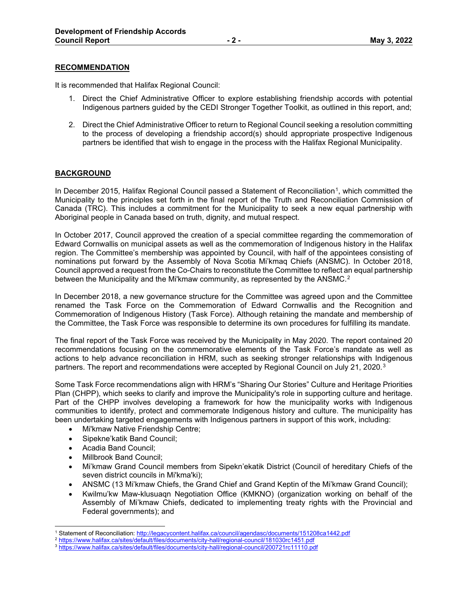#### **RECOMMENDATION**

It is recommended that Halifax Regional Council:

- 1. Direct the Chief Administrative Officer to explore establishing friendship accords with potential Indigenous partners guided by the CEDI Stronger Together Toolkit, as outlined in this report, and;
- 2. Direct the Chief Administrative Officer to return to Regional Council seeking a resolution committing to the process of developing a friendship accord(s) should appropriate prospective Indigenous partners be identified that wish to engage in the process with the Halifax Regional Municipality.

#### **BACKGROUND**

In December 2015, Halifax Regional Council passed a Statement of Reconciliation<sup>1</sup>, which committed the Municipality to the principles set forth in the final report of the Truth and Reconciliation Commission of Canada (TRC). This includes a commitment for the Municipality to seek a new equal partnership with Aboriginal people in Canada based on truth, dignity, and mutual respect.

In October 2017, Council approved the creation of a special committee regarding the commemoration of Edward Cornwallis on municipal assets as well as the commemoration of Indigenous history in the Halifax region. The Committee's membership was appointed by Council, with half of the appointees consisting of nominations put forward by the Assembly of Nova Scotia Mi'kmaq Chiefs (ANSMC). In October 2018, Council approved a request from the Co-Chairs to reconstitute the Committee to reflect an equal partnership between the Municipality and the Mi'kmaw community, as represented by the ANSMC.<sup>[2](#page-1-1)</sup>

In December 2018, a new governance structure for the Committee was agreed upon and the Committee renamed the Task Force on the Commemoration of Edward Cornwallis and the Recognition and Commemoration of Indigenous History (Task Force). Although retaining the mandate and membership of the Committee, the Task Force was responsible to determine its own procedures for fulfilling its mandate.

The final report of the Task Force was received by the Municipality in May 2020. The report contained 20 recommendations focusing on the commemorative elements of the Task Force's mandate as well as actions to help advance reconciliation in HRM, such as seeking stronger relationships with Indigenous partners. The report and recommendations were accepted by Regional Council on July 21, 2020.<sup>3</sup>

Some Task Force recommendations align with HRM's "Sharing Our Stories" Culture and Heritage Priorities Plan (CHPP), which seeks to clarify and improve the Municipality's role in supporting culture and heritage. Part of the CHPP involves developing a framework for how the municipality works with Indigenous communities to identify, protect and commemorate Indigenous history and culture. The municipality has been undertaking targeted engagements with Indigenous partners in support of this work, including:

- Mi'kmaw Native Friendship Centre;
- Sipekne'katik Band Council;
- Acadia Band Council;
- Millbrook Band Council;
- Mi'kmaw Grand Council members from Sipekn'ekatik District (Council of hereditary Chiefs of the seven district councils in Mi'kma'ki);
- ANSMC (13 Mi'kmaw Chiefs, the Grand Chief and Grand Keptin of the Mi'kmaw Grand Council);
- Kwilmu'kw Maw-klusuaqn Negotiation Office (KMKNO) (organization working on behalf of the Assembly of Mi'kmaw Chiefs, dedicated to implementing treaty rights with the Provincial and Federal governments); and

<sup>1</sup> Statement of Reconciliation:<http://legacycontent.halifax.ca/council/agendasc/documents/151208ca1442.pdf>

<span id="page-1-1"></span><span id="page-1-0"></span><sup>2</sup> <https://www.halifax.ca/sites/default/files/documents/city-hall/regional-council/181030rc1451.pdf>

<span id="page-1-2"></span><sup>3</sup> <https://www.halifax.ca/sites/default/files/documents/city-hall/regional-council/200721rc11110.pdf>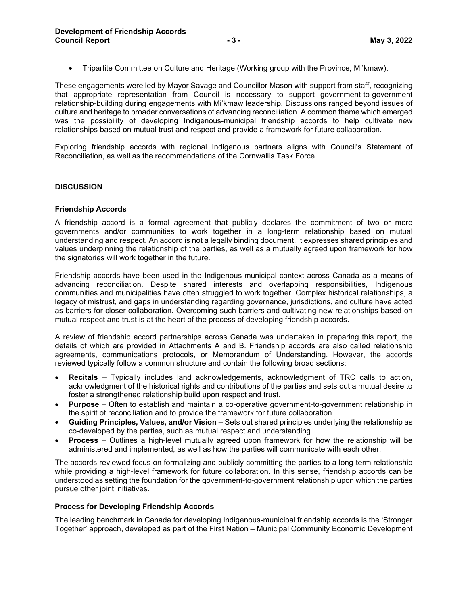• Tripartite Committee on Culture and Heritage (Working group with the Province, Mi'kmaw).

These engagements were led by Mayor Savage and Councillor Mason with support from staff, recognizing that appropriate representation from Council is necessary to support government-to-government relationship-building during engagements with Mi'kmaw leadership. Discussions ranged beyond issues of culture and heritage to broader conversations of advancing reconciliation. A common theme which emerged was the possibility of developing Indigenous-municipal friendship accords to help cultivate new relationships based on mutual trust and respect and provide a framework for future collaboration.

Exploring friendship accords with regional Indigenous partners aligns with Council's Statement of Reconciliation, as well as the recommendations of the Cornwallis Task Force.

#### **DISCUSSION**

#### **Friendship Accords**

A friendship accord is a formal agreement that publicly declares the commitment of two or more governments and/or communities to work together in a long-term relationship based on mutual understanding and respect. An accord is not a legally binding document. It expresses shared principles and values underpinning the relationship of the parties, as well as a mutually agreed upon framework for how the signatories will work together in the future.

Friendship accords have been used in the Indigenous-municipal context across Canada as a means of advancing reconciliation. Despite shared interests and overlapping responsibilities, Indigenous communities and municipalities have often struggled to work together. Complex historical relationships, a legacy of mistrust, and gaps in understanding regarding governance, jurisdictions, and culture have acted as barriers for closer collaboration. Overcoming such barriers and cultivating new relationships based on mutual respect and trust is at the heart of the process of developing friendship accords.

A review of friendship accord partnerships across Canada was undertaken in preparing this report, the details of which are provided in Attachments A and B. Friendship accords are also called relationship agreements, communications protocols, or Memorandum of Understanding. However, the accords reviewed typically follow a common structure and contain the following broad sections:

- **Recitals**  Typically includes land acknowledgements, acknowledgment of TRC calls to action, acknowledgment of the historical rights and contributions of the parties and sets out a mutual desire to foster a strengthened relationship build upon respect and trust.
- **Purpose**  Often to establish and maintain a co-operative government-to-government relationship in the spirit of reconciliation and to provide the framework for future collaboration.
- **Guiding Principles, Values, and/or Vision** Sets out shared principles underlying the relationship as co-developed by the parties, such as mutual respect and understanding.
- **Process**  Outlines a high-level mutually agreed upon framework for how the relationship will be administered and implemented, as well as how the parties will communicate with each other.

The accords reviewed focus on formalizing and publicly committing the parties to a long-term relationship while providing a high-level framework for future collaboration. In this sense, friendship accords can be understood as setting the foundation for the government-to-government relationship upon which the parties pursue other joint initiatives.

#### **Process for Developing Friendship Accords**

The leading benchmark in Canada for developing Indigenous-municipal friendship accords is the 'Stronger Together' approach, developed as part of the First Nation – Municipal Community Economic Development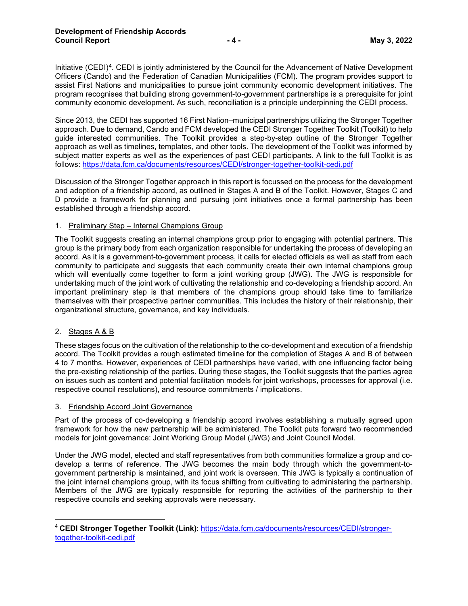Initiative (CEDI)[4](#page-3-0). CEDI is jointly administered by the Council for the Advancement of Native Development Officers (Cando) and the Federation of Canadian Municipalities (FCM). The program provides support to assist First Nations and municipalities to pursue joint community economic development initiatives. The program recognises that building strong government-to-government partnerships is a prerequisite for joint community economic development. As such, reconciliation is a principle underpinning the CEDI process.

Since 2013, the CEDI has supported 16 First Nation–municipal partnerships utilizing the Stronger Together approach. Due to demand, Cando and FCM developed the CEDI Stronger Together Toolkit (Toolkit) to help guide interested communities. The Toolkit provides a step-by-step outline of the Stronger Together approach as well as timelines, templates, and other tools. The development of the Toolkit was informed by subject matter experts as well as the experiences of past CEDI participants. A link to the full Toolkit is as follows:<https://data.fcm.ca/documents/resources/CEDI/stronger-together-toolkit-cedi.pdf>

Discussion of the Stronger Together approach in this report is focussed on the process for the development and adoption of a friendship accord, as outlined in Stages A and B of the Toolkit. However, Stages C and D provide a framework for planning and pursuing joint initiatives once a formal partnership has been established through a friendship accord.

### 1. Preliminary Step – Internal Champions Group

The Toolkit suggests creating an internal champions group prior to engaging with potential partners. This group is the primary body from each organization responsible for undertaking the process of developing an accord. As it is a government-to-government process, it calls for elected officials as well as staff from each community to participate and suggests that each community create their own internal champions group which will eventually come together to form a joint working group (JWG). The JWG is responsible for undertaking much of the joint work of cultivating the relationship and co-developing a friendship accord. An important preliminary step is that members of the champions group should take time to familiarize themselves with their prospective partner communities. This includes the history of their relationship, their organizational structure, governance, and key individuals.

# 2. Stages A & B

These stages focus on the cultivation of the relationship to the co-development and execution of a friendship accord. The Toolkit provides a rough estimated timeline for the completion of Stages A and B of between 4 to 7 months. However, experiences of CEDI partnerships have varied, with one influencing factor being the pre-existing relationship of the parties. During these stages, the Toolkit suggests that the parties agree on issues such as content and potential facilitation models for joint workshops, processes for approval (i.e. respective council resolutions), and resource commitments / implications.

#### 3. Friendship Accord Joint Governance

Part of the process of co-developing a friendship accord involves establishing a mutually agreed upon framework for how the new partnership will be administered. The Toolkit puts forward two recommended models for joint governance: Joint Working Group Model (JWG) and Joint Council Model.

Under the JWG model, elected and staff representatives from both communities formalize a group and codevelop a terms of reference. The JWG becomes the main body through which the government-togovernment partnership is maintained, and joint work is overseen. This JWG is typically a continuation of the joint internal champions group, with its focus shifting from cultivating to administering the partnership. Members of the JWG are typically responsible for reporting the activities of the partnership to their respective councils and seeking approvals were necessary.

<span id="page-3-0"></span><sup>4</sup> **CEDI Stronger Together Toolkit (Link)**: [https://data.fcm.ca/documents/resources/CEDI/stronger](https://data.fcm.ca/documents/resources/CEDI/stronger-together-toolkit-cedi.pdf)[together-toolkit-cedi.pdf](https://data.fcm.ca/documents/resources/CEDI/stronger-together-toolkit-cedi.pdf)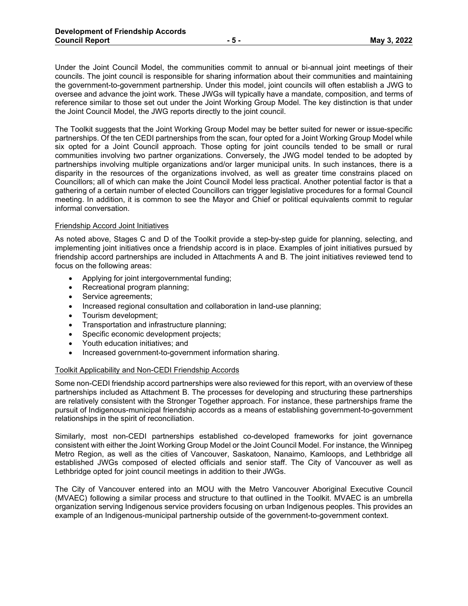Under the Joint Council Model, the communities commit to annual or bi-annual joint meetings of their councils. The joint council is responsible for sharing information about their communities and maintaining the government-to-government partnership. Under this model, joint councils will often establish a JWG to oversee and advance the joint work. These JWGs will typically have a mandate, composition, and terms of reference similar to those set out under the Joint Working Group Model. The key distinction is that under the Joint Council Model, the JWG reports directly to the joint council.

The Toolkit suggests that the Joint Working Group Model may be better suited for newer or issue-specific partnerships. Of the ten CEDI partnerships from the scan, four opted for a Joint Working Group Model while six opted for a Joint Council approach. Those opting for joint councils tended to be small or rural communities involving two partner organizations. Conversely, the JWG model tended to be adopted by partnerships involving multiple organizations and/or larger municipal units. In such instances, there is a disparity in the resources of the organizations involved, as well as greater time constrains placed on Councillors; all of which can make the Joint Council Model less practical. Another potential factor is that a gathering of a certain number of elected Councillors can trigger legislative procedures for a formal Council meeting. In addition, it is common to see the Mayor and Chief or political equivalents commit to regular informal conversation.

#### Friendship Accord Joint Initiatives

As noted above, Stages C and D of the Toolkit provide a step-by-step guide for planning, selecting, and implementing joint initiatives once a friendship accord is in place. Examples of joint initiatives pursued by friendship accord partnerships are included in Attachments A and B. The joint initiatives reviewed tend to focus on the following areas:

- Applying for joint intergovernmental funding;
- Recreational program planning;
- Service agreements;
- Increased regional consultation and collaboration in land-use planning;
- Tourism development;
- Transportation and infrastructure planning;
- Specific economic development projects;
- Youth education initiatives; and
- Increased government-to-government information sharing.

## Toolkit Applicability and Non-CEDI Friendship Accords

Some non-CEDI friendship accord partnerships were also reviewed for this report, with an overview of these partnerships included as Attachment B. The processes for developing and structuring these partnerships are relatively consistent with the Stronger Together approach. For instance, these partnerships frame the pursuit of Indigenous-municipal friendship accords as a means of establishing government-to-government relationships in the spirit of reconciliation.

Similarly, most non-CEDI partnerships established co-developed frameworks for joint governance consistent with either the Joint Working Group Model or the Joint Council Model. For instance, the Winnipeg Metro Region, as well as the cities of Vancouver, Saskatoon, Nanaimo, Kamloops, and Lethbridge all established JWGs composed of elected officials and senior staff. The City of Vancouver as well as Lethbridge opted for joint council meetings in addition to their JWGs.

The City of Vancouver entered into an MOU with the Metro Vancouver Aboriginal Executive Council (MVAEC) following a similar process and structure to that outlined in the Toolkit. MVAEC is an umbrella organization serving Indigenous service providers focusing on urban Indigenous peoples. This provides an example of an Indigenous-municipal partnership outside of the government-to-government context.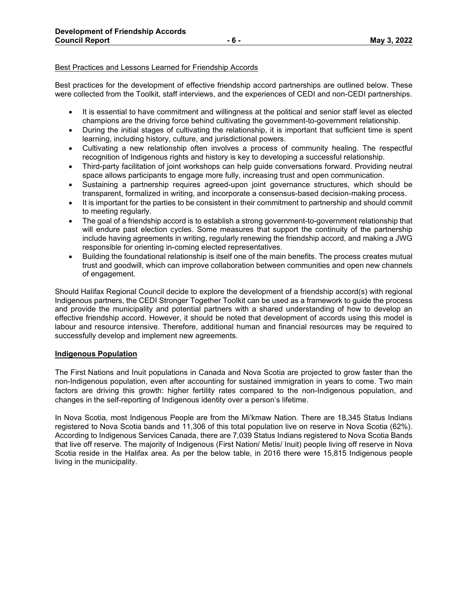#### Best Practices and Lessons Learned for Friendship Accords

Best practices for the development of effective friendship accord partnerships are outlined below. These were collected from the Toolkit, staff interviews, and the experiences of CEDI and non-CEDI partnerships.

- It is essential to have commitment and willingness at the political and senior staff level as elected champions are the driving force behind cultivating the government-to-government relationship.
- During the initial stages of cultivating the relationship, it is important that sufficient time is spent learning, including history, culture, and jurisdictional powers.
- Cultivating a new relationship often involves a process of community healing. The respectful recognition of Indigenous rights and history is key to developing a successful relationship.
- Third-party facilitation of joint workshops can help guide conversations forward. Providing neutral space allows participants to engage more fully, increasing trust and open communication.
- Sustaining a partnership requires agreed-upon joint governance structures, which should be transparent, formalized in writing, and incorporate a consensus-based decision-making process.
- It is important for the parties to be consistent in their commitment to partnership and should commit to meeting regularly.
- The goal of a friendship accord is to establish a strong government-to-government relationship that will endure past election cycles. Some measures that support the continuity of the partnership include having agreements in writing, regularly renewing the friendship accord, and making a JWG responsible for orienting in-coming elected representatives.
- Building the foundational relationship is itself one of the main benefits. The process creates mutual trust and goodwill, which can improve collaboration between communities and open new channels of engagement.

Should Halifax Regional Council decide to explore the development of a friendship accord(s) with regional Indigenous partners, the CEDI Stronger Together Toolkit can be used as a framework to guide the process and provide the municipality and potential partners with a shared understanding of how to develop an effective friendship accord. However, it should be noted that development of accords using this model is labour and resource intensive. Therefore, additional human and financial resources may be required to successfully develop and implement new agreements.

#### **Indigenous Population**

The First Nations and Inuit populations in Canada and Nova Scotia are projected to grow faster than the non-Indigenous population, even after accounting for sustained immigration in years to come. Two main factors are driving this growth: higher fertility rates compared to the non-Indigenous population, and changes in the self-reporting of Indigenous identity over a person's lifetime.

In Nova Scotia, most Indigenous People are from the Mi'kmaw Nation. There are 18,345 Status Indians registered to Nova Scotia bands and 11,306 of this total population live on reserve in Nova Scotia (62%). According to Indigenous Services Canada, there are 7,039 Status Indians registered to Nova Scotia Bands that live off reserve. The majority of Indigenous (First Nation/ Metis/ Inuit) people living off reserve in Nova Scotia reside in the Halifax area. As per the below table, in 2016 there were 15,815 Indigenous people living in the municipality.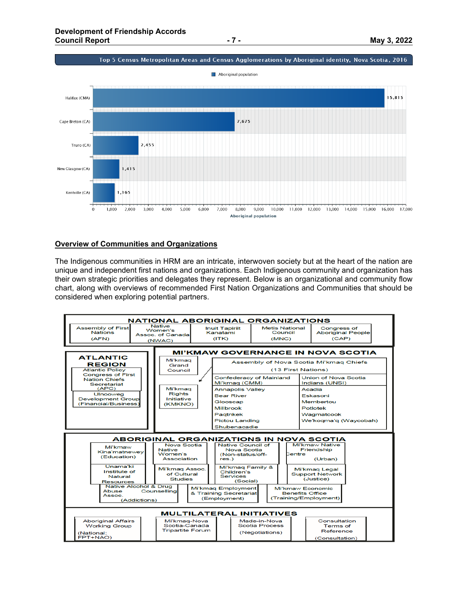

#### **Overview of Communities and Organizations**

The Indigenous communities in HRM are an intricate, interwoven society but at the heart of the nation are unique and independent first nations and organizations. Each Indigenous community and organization has their own strategic priorities and delegates they represent. Below is an organizational and community flow chart, along with overviews of recommended First Nation Organizations and Communities that should be considered when exploring potential partners.

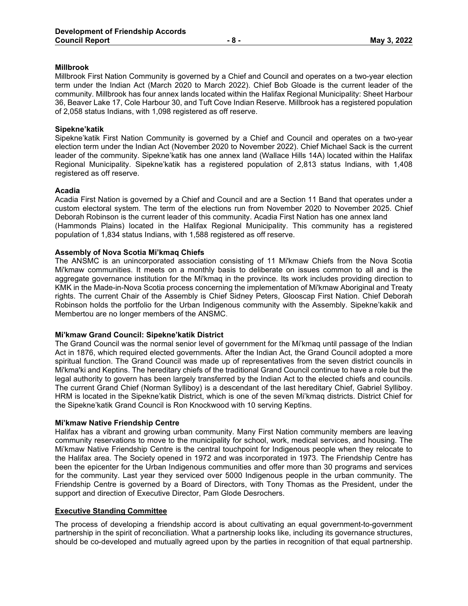#### **Millbrook**

Millbrook First Nation Community is governed by a Chief and Council and operates on a two-year election term under the Indian Act (March 2020 to March 2022). Chief Bob Gloade is the current leader of the community. Millbrook has four annex lands located within the Halifax Regional Municipality: Sheet Harbour 36, Beaver Lake 17, Cole Harbour 30, and Tuft Cove Indian Reserve. Millbrook has a registered population of 2,058 status Indians, with 1,098 registered as off reserve.

#### **Sipekne'katik**

Sipekne'katik First Nation Community is governed by a Chief and Council and operates on a two-year election term under the Indian Act (November 2020 to November 2022). Chief Michael Sack is the current leader of the community. Sipekne'katik has one annex land (Wallace Hills 14A) located within the Halifax Regional Municipality. Sipekne'katik has a registered population of 2,813 status Indians, with 1,408 registered as off reserve.

#### **Acadia**

Acadia First Nation is governed by a Chief and Council and are a Section 11 Band that operates under a custom electoral system. The term of the elections run from November 2020 to November 2025. Chief Deborah Robinson is the current leader of this community. Acadia First Nation has one annex land (Hammonds Plains) located in the Halifax Regional Municipality. This community has a registered population of 1,834 status Indians, with 1,588 registered as off reserve.

#### **Assembly of Nova Scotia Mi'kmaq Chiefs**

The ANSMC is an unincorporated association consisting of 11 Mi'kmaw Chiefs from the Nova Scotia Mi'kmaw communities. It meets on a monthly basis to deliberate on issues common to all and is the aggregate governance institution for the Mi'kmaq in the province. Its work includes providing direction to KMK in the Made-in-Nova Scotia process concerning the implementation of Mi'kmaw Aboriginal and Treaty rights. The current Chair of the Assembly is Chief Sidney Peters, Glooscap First Nation. Chief Deborah Robinson holds the portfolio for the Urban Indigenous community with the Assembly. Sipekne'kakik and Membertou are no longer members of the ANSMC.

#### **Mi'kmaw Grand Council: Sipekne'katik District**

The Grand Council was the normal senior level of government for the Mi'kmaq until passage of the Indian Act in 1876, which required elected governments. After the Indian Act, the Grand Council adopted a more spiritual function. The Grand Council was made up of representatives from the seven district councils in Mi'kma'ki and Keptins. The hereditary chiefs of the traditional Grand Council continue to have a role but the legal authority to govern has been largely transferred by the Indian Act to the elected chiefs and councils. The current Grand Chief (Norman Sylliboy) is a descendant of the last hereditary Chief, Gabriel Sylliboy. HRM is located in the Sipekne'katik District, which is one of the seven Mi'kmaq districts. District Chief for the Sipekne'katik Grand Council is Ron Knockwood with 10 serving Keptins.

#### **Mi'kmaw Native Friendship Centre**

Halifax has a vibrant and growing urban community. Many First Nation community members are leaving community reservations to move to the municipality for school, work, medical services, and housing. The Mi'kmaw Native Friendship Centre is the central touchpoint for Indigenous people when they relocate to the Halifax area. The Society opened in 1972 and was incorporated in 1973. The Friendship Centre has been the epicenter for the Urban Indigenous communities and offer more than 30 programs and services for the community. Last year they serviced over 5000 Indigenous people in the urban community. The Friendship Centre is governed by a Board of Directors, with Tony Thomas as the President, under the support and direction of Executive Director, Pam Glode Desrochers.

#### **Executive Standing Committee**

The process of developing a friendship accord is about cultivating an equal government-to-government partnership in the spirit of reconciliation. What a partnership looks like, including its governance structures, should be co-developed and mutually agreed upon by the parties in recognition of that equal partnership.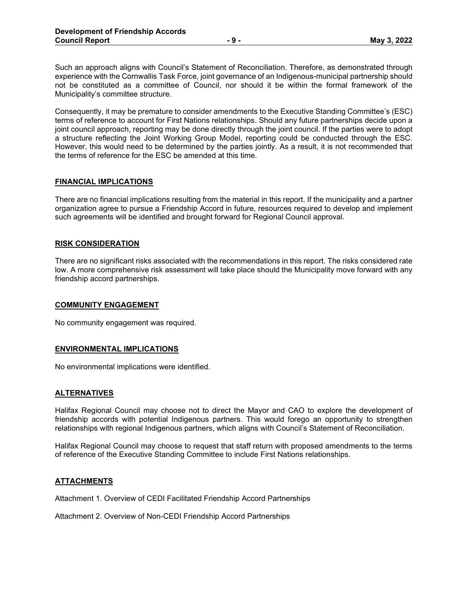Such an approach aligns with Council's Statement of Reconciliation. Therefore, as demonstrated through experience with the Cornwallis Task Force, joint governance of an Indigenous-municipal partnership should not be constituted as a committee of Council, nor should it be within the formal framework of the Municipality's committee structure.

Consequently, it may be premature to consider amendments to the Executive Standing Committee's (ESC) terms of reference to account for First Nations relationships. Should any future partnerships decide upon a joint council approach, reporting may be done directly through the joint council. If the parties were to adopt a structure reflecting the Joint Working Group Model, reporting could be conducted through the ESC. However, this would need to be determined by the parties jointly. As a result, it is not recommended that the terms of reference for the ESC be amended at this time.

#### **FINANCIAL IMPLICATIONS**

There are no financial implications resulting from the material in this report. If the municipality and a partner organization agree to pursue a Friendship Accord in future, resources required to develop and implement such agreements will be identified and brought forward for Regional Council approval.

#### **RISK CONSIDERATION**

There are no significant risks associated with the recommendations in this report. The risks considered rate low. A more comprehensive risk assessment will take place should the Municipality move forward with any friendship accord partnerships.

#### **COMMUNITY ENGAGEMENT**

No community engagement was required.

#### **ENVIRONMENTAL IMPLICATIONS**

No environmental implications were identified.

#### **ALTERNATIVES**

Halifax Regional Council may choose not to direct the Mayor and CAO to explore the development of friendship accords with potential Indigenous partners. This would forego an opportunity to strengthen relationships with regional Indigenous partners, which aligns with Council's Statement of Reconciliation.

Halifax Regional Council may choose to request that staff return with proposed amendments to the terms of reference of the Executive Standing Committee to include First Nations relationships.

#### **ATTACHMENTS**

Attachment 1. Overview of CEDI Facilitated Friendship Accord Partnerships

Attachment 2. Overview of Non-CEDI Friendship Accord Partnerships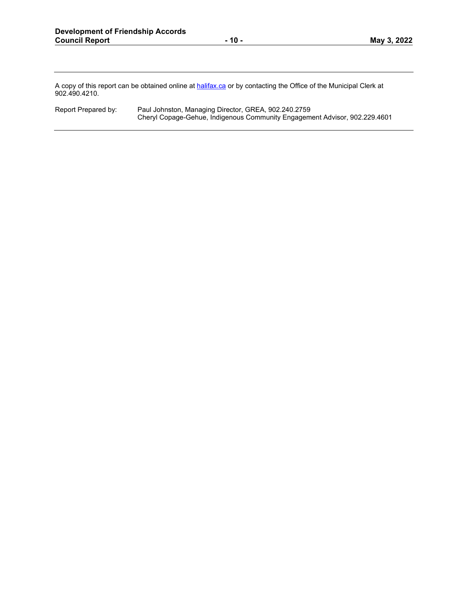A copy of this report can be obtained online at **halifax.ca** or by contacting the Office of the Municipal Clerk at 902.490.4210.

Report Prepared by: Paul Johnston, Managing Director, GREA, 902.240.2759 Cheryl Copage-Gehue, Indigenous Community Engagement Advisor, 902.229.4601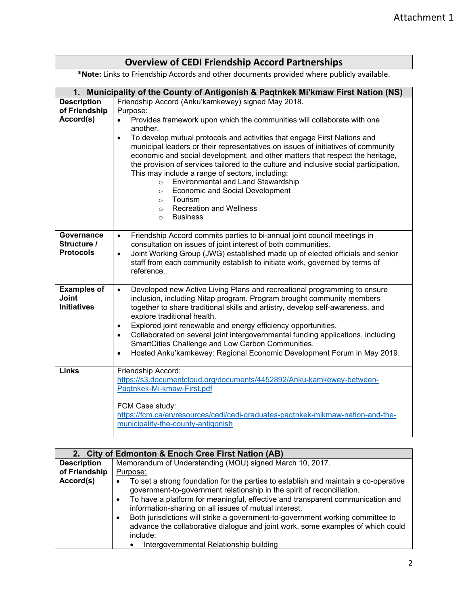# **Overview of CEDI Friendship Accord Partnerships**

**\*Note:** Links to Friendship Accords and other documents provided where publicly available.

| 1.                                                       | Municipality of the County of Antigonish & Paqtnkek Mi'kmaw First Nation (NS)                                                                                                                                                                                                                                                                                                                                                                                                                                                                                                                                                                                                                                                                                                               |
|----------------------------------------------------------|---------------------------------------------------------------------------------------------------------------------------------------------------------------------------------------------------------------------------------------------------------------------------------------------------------------------------------------------------------------------------------------------------------------------------------------------------------------------------------------------------------------------------------------------------------------------------------------------------------------------------------------------------------------------------------------------------------------------------------------------------------------------------------------------|
| <b>Description</b><br>of Friendship<br>Accord(s)         | Friendship Accord (Anku'kamkewey) signed May 2018.<br>Purpose:<br>Provides framework upon which the communities will collaborate with one<br>$\bullet$<br>another.<br>To develop mutual protocols and activities that engage First Nations and<br>$\bullet$<br>municipal leaders or their representatives on issues of initiatives of community<br>economic and social development, and other matters that respect the heritage,<br>the provision of services tailored to the culture and inclusive social participation.<br>This may include a range of sectors, including:<br><b>Environmental and Land Stewardship</b><br>$\circ$<br><b>Economic and Social Development</b><br>$\circ$<br>Tourism<br>$\circ$<br><b>Recreation and Wellness</b><br>$\Omega$<br><b>Business</b><br>$\circ$ |
| Governance<br>Structure /<br><b>Protocols</b>            | Friendship Accord commits parties to bi-annual joint council meetings in<br>$\bullet$<br>consultation on issues of joint interest of both communities.<br>Joint Working Group (JWG) established made up of elected officials and senior<br>$\bullet$<br>staff from each community establish to initiate work, governed by terms of<br>reference.                                                                                                                                                                                                                                                                                                                                                                                                                                            |
| <b>Examples of</b><br><b>Joint</b><br><b>Initiatives</b> | Developed new Active Living Plans and recreational programming to ensure<br>$\bullet$<br>inclusion, including Nitap program. Program brought community members<br>together to share traditional skills and artistry, develop self-awareness, and<br>explore traditional health.<br>Explored joint renewable and energy efficiency opportunities.<br>$\bullet$<br>Collaborated on several joint intergovernmental funding applications, including<br>$\bullet$<br>SmartCities Challenge and Low Carbon Communities.<br>Hosted Anku'kamkewey: Regional Economic Development Forum in May 2019.<br>$\bullet$                                                                                                                                                                                   |
| <b>Links</b>                                             | Friendship Accord:<br>https://s3.documentcloud.org/documents/4452892/Anku-kamkewey-between-<br>Pagtnkek-Mi-kmaw-First.pdf<br>FCM Case study:<br>https://fcm.ca/en/resources/cedi/cedi-graduates-pagtnkek-mikmaw-nation-and-the-<br>municipality-the-county-antigonish                                                                                                                                                                                                                                                                                                                                                                                                                                                                                                                       |

| 2. City of Edmonton & Enoch Cree First Nation (AB) |                                                                                                                                                                                                                                                                                                                                                                                                                                                                                                                                      |
|----------------------------------------------------|--------------------------------------------------------------------------------------------------------------------------------------------------------------------------------------------------------------------------------------------------------------------------------------------------------------------------------------------------------------------------------------------------------------------------------------------------------------------------------------------------------------------------------------|
| <b>Description</b>                                 | Memorandum of Understanding (MOU) signed March 10, 2017.                                                                                                                                                                                                                                                                                                                                                                                                                                                                             |
| of Friendship                                      | Purpose:                                                                                                                                                                                                                                                                                                                                                                                                                                                                                                                             |
| Accord(s)                                          | To set a strong foundation for the parties to establish and maintain a co-operative<br>government-to-government relationship in the spirit of reconciliation.<br>To have a platform for meaningful, effective and transparent communication and<br>information-sharing on all issues of mutual interest.<br>Both jurisdictions will strike a government-to-government working committee to<br>advance the collaborative dialogue and joint work, some examples of which could<br>include:<br>Intergovernmental Relationship building |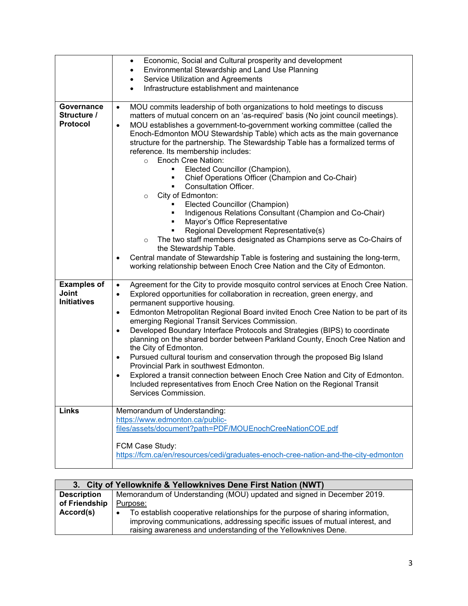|                                                          | Economic, Social and Cultural prosperity and development<br>$\bullet$                                                                                                                                                                                                                                                                                                                                                                                                                                                                                                                                                                                                                                                                                                                                                                                                                                 |
|----------------------------------------------------------|-------------------------------------------------------------------------------------------------------------------------------------------------------------------------------------------------------------------------------------------------------------------------------------------------------------------------------------------------------------------------------------------------------------------------------------------------------------------------------------------------------------------------------------------------------------------------------------------------------------------------------------------------------------------------------------------------------------------------------------------------------------------------------------------------------------------------------------------------------------------------------------------------------|
|                                                          | Environmental Stewardship and Land Use Planning<br>$\bullet$                                                                                                                                                                                                                                                                                                                                                                                                                                                                                                                                                                                                                                                                                                                                                                                                                                          |
|                                                          | <b>Service Utilization and Agreements</b><br>$\bullet$                                                                                                                                                                                                                                                                                                                                                                                                                                                                                                                                                                                                                                                                                                                                                                                                                                                |
|                                                          | Infrastructure establishment and maintenance<br>$\bullet$                                                                                                                                                                                                                                                                                                                                                                                                                                                                                                                                                                                                                                                                                                                                                                                                                                             |
| Governance<br>Structure /<br><b>Protocol</b>             | MOU commits leadership of both organizations to hold meetings to discuss<br>$\bullet$<br>matters of mutual concern on an 'as-required' basis (No joint council meetings).<br>MOU establishes a government-to-government working committee (called the<br>$\bullet$<br>Enoch-Edmonton MOU Stewardship Table) which acts as the main governance<br>structure for the partnership. The Stewardship Table has a formalized terms of<br>reference. Its membership includes:<br>Enoch Cree Nation:<br>$\circ$<br>Elected Councillor (Champion),<br>Chief Operations Officer (Champion and Co-Chair)<br><b>Consultation Officer.</b>                                                                                                                                                                                                                                                                         |
|                                                          | City of Edmonton:<br>$\circ$<br>Elected Councillor (Champion)<br>Indigenous Relations Consultant (Champion and Co-Chair)<br>Mayor's Office Representative<br>Regional Development Representative(s)<br>The two staff members designated as Champions serve as Co-Chairs of<br>$\circ$<br>the Stewardship Table.<br>Central mandate of Stewardship Table is fostering and sustaining the long-term,<br>٠<br>working relationship between Enoch Cree Nation and the City of Edmonton.                                                                                                                                                                                                                                                                                                                                                                                                                   |
| <b>Examples of</b><br><b>Joint</b><br><b>Initiatives</b> | Agreement for the City to provide mosquito control services at Enoch Cree Nation.<br>$\bullet$<br>Explored opportunities for collaboration in recreation, green energy, and<br>$\bullet$<br>permanent supportive housing.<br>Edmonton Metropolitan Regional Board invited Enoch Cree Nation to be part of its<br>$\bullet$<br>emerging Regional Transit Services Commission.<br>Developed Boundary Interface Protocols and Strategies (BIPS) to coordinate<br>$\bullet$<br>planning on the shared border between Parkland County, Enoch Cree Nation and<br>the City of Edmonton.<br>Pursued cultural tourism and conservation through the proposed Big Island<br>٠<br>Provincial Park in southwest Edmonton.<br>Explored a transit connection between Enoch Cree Nation and City of Edmonton.<br>٠<br>Included representatives from Enoch Cree Nation on the Regional Transit<br>Services Commission. |
| <b>Links</b>                                             | Memorandum of Understanding:<br>https://www.edmonton.ca/public-<br>files/assets/document?path=PDF/MOUEnochCreeNationCOE.pdf<br>FCM Case Study:<br>https://fcm.ca/en/resources/cedi/graduates-enoch-cree-nation-and-the-city-edmonton                                                                                                                                                                                                                                                                                                                                                                                                                                                                                                                                                                                                                                                                  |
|                                                          |                                                                                                                                                                                                                                                                                                                                                                                                                                                                                                                                                                                                                                                                                                                                                                                                                                                                                                       |

| 3. City of Yellowknife & Yellowknives Dene First Nation (NWT) |                                                                                                                                               |
|---------------------------------------------------------------|-----------------------------------------------------------------------------------------------------------------------------------------------|
| <b>Description</b>                                            | Memorandum of Understanding (MOU) updated and signed in December 2019.                                                                        |
| of Friendship                                                 | Purpose:                                                                                                                                      |
| Accord(s)                                                     | To establish cooperative relationships for the purpose of sharing information,                                                                |
|                                                               | improving communications, addressing specific issues of mutual interest, and<br>raising awareness and understanding of the Yellowknives Dene. |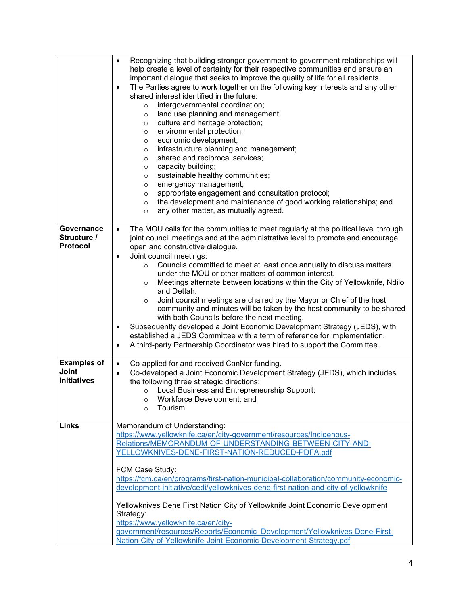|                                                     | Recognizing that building stronger government-to-government relationships will<br>$\bullet$<br>help create a level of certainty for their respective communities and ensure an<br>important dialogue that seeks to improve the quality of life for all residents.<br>The Parties agree to work together on the following key interests and any other<br>$\bullet$<br>shared interest identified in the future:<br>intergovernmental coordination;<br>$\circ$<br>land use planning and management;<br>O<br>culture and heritage protection;<br>$\circ$<br>environmental protection;<br>$\circ$<br>economic development;<br>$\circ$<br>infrastructure planning and management;<br>O<br>shared and reciprocal services;<br>$\circ$<br>capacity building;<br>$\circ$<br>sustainable healthy communities;<br>$\circ$<br>emergency management;<br>$\circ$<br>appropriate engagement and consultation protocol;<br>$\circ$<br>the development and maintenance of good working relationships; and<br>$\circ$<br>any other matter, as mutually agreed.<br>$\circ$ |
|-----------------------------------------------------|----------------------------------------------------------------------------------------------------------------------------------------------------------------------------------------------------------------------------------------------------------------------------------------------------------------------------------------------------------------------------------------------------------------------------------------------------------------------------------------------------------------------------------------------------------------------------------------------------------------------------------------------------------------------------------------------------------------------------------------------------------------------------------------------------------------------------------------------------------------------------------------------------------------------------------------------------------------------------------------------------------------------------------------------------------|
| <b>Governance</b><br>Structure /<br><b>Protocol</b> | The MOU calls for the communities to meet regularly at the political level through<br>$\bullet$<br>joint council meetings and at the administrative level to promote and encourage<br>open and constructive dialogue.<br>Joint council meetings:<br>$\bullet$<br>Councils committed to meet at least once annually to discuss matters<br>$\circ$<br>under the MOU or other matters of common interest.<br>Meetings alternate between locations within the City of Yellowknife, Ndilo<br>$\circ$<br>and Dettah.<br>Joint council meetings are chaired by the Mayor or Chief of the host<br>$\circ$<br>community and minutes will be taken by the host community to be shared<br>with both Councils before the next meeting.<br>Subsequently developed a Joint Economic Development Strategy (JEDS), with<br>$\bullet$<br>established a JEDS Committee with a term of reference for implementation.<br>A third-party Partnership Coordinator was hired to support the Committee.<br>٠                                                                      |
| <b>Examples of</b><br>Joint<br><b>Initiatives</b>   | Co-applied for and received CanNor funding.<br>$\bullet$<br>Co-developed a Joint Economic Development Strategy (JEDS), which includes<br>$\bullet$<br>the following three strategic directions:<br>Local Business and Entrepreneurship Support;<br>$\circ$<br>Workforce Development; and<br>$\circ$<br>Tourism.<br>$\circ$                                                                                                                                                                                                                                                                                                                                                                                                                                                                                                                                                                                                                                                                                                                               |
| <b>Links</b>                                        | Memorandum of Understanding:<br>https://www.yellowknife.ca/en/city-government/resources/Indigenous-<br>Relations/MEMORANDUM-OF-UNDERSTANDING-BETWEEN-CITY-AND-<br>YELLOWKNIVES-DENE-FIRST-NATION-REDUCED-PDFA.pdf<br>FCM Case Study:<br>https://fcm.ca/en/programs/first-nation-municipal-collaboration/community-economic-<br>development-initiative/cedi/yellowknives-dene-first-nation-and-city-of-yellowknife<br>Yellowknives Dene First Nation City of Yellowknife Joint Economic Development<br>Strategy:<br>https://www.yellowknife.ca/en/city-<br>government/resources/Reports/Economic Development/Yellowknives-Dene-First-<br>Nation-City-of-Yellowknife-Joint-Economic-Development-Strategy.pdf                                                                                                                                                                                                                                                                                                                                               |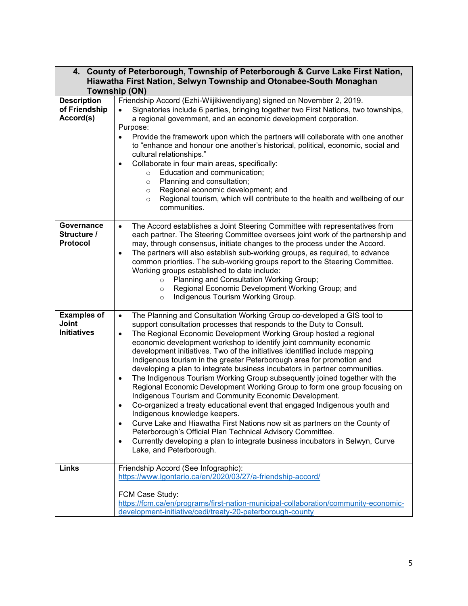| 4. County of Peterborough, Township of Peterborough & Curve Lake First Nation,<br>Hiawatha First Nation, Selwyn Township and Otonabee-South Monaghan<br><b>Township (ON)</b> |                                                                                                                                                                                                                                                                                                                                                                                                                                                                                                                                                                                                                                                                                                                                                                                                                                                                                                                                                                                                                                                                                                                                                                                            |
|------------------------------------------------------------------------------------------------------------------------------------------------------------------------------|--------------------------------------------------------------------------------------------------------------------------------------------------------------------------------------------------------------------------------------------------------------------------------------------------------------------------------------------------------------------------------------------------------------------------------------------------------------------------------------------------------------------------------------------------------------------------------------------------------------------------------------------------------------------------------------------------------------------------------------------------------------------------------------------------------------------------------------------------------------------------------------------------------------------------------------------------------------------------------------------------------------------------------------------------------------------------------------------------------------------------------------------------------------------------------------------|
| <b>Description</b>                                                                                                                                                           | Friendship Accord (Ezhi-Wiijikiwendiyang) signed on November 2, 2019.                                                                                                                                                                                                                                                                                                                                                                                                                                                                                                                                                                                                                                                                                                                                                                                                                                                                                                                                                                                                                                                                                                                      |
| of Friendship<br>Accord(s)                                                                                                                                                   | Signatories include 6 parties, bringing together two First Nations, two townships,<br>$\bullet$<br>a regional government, and an economic development corporation.                                                                                                                                                                                                                                                                                                                                                                                                                                                                                                                                                                                                                                                                                                                                                                                                                                                                                                                                                                                                                         |
|                                                                                                                                                                              | Purpose:                                                                                                                                                                                                                                                                                                                                                                                                                                                                                                                                                                                                                                                                                                                                                                                                                                                                                                                                                                                                                                                                                                                                                                                   |
|                                                                                                                                                                              | Provide the framework upon which the partners will collaborate with one another<br>$\bullet$<br>to "enhance and honour one another's historical, political, economic, social and<br>cultural relationships."<br>Collaborate in four main areas, specifically:<br>$\bullet$<br>Education and communication;<br>$\circ$<br>Planning and consultation;<br>$\circ$<br>Regional economic development; and<br>$\circ$<br>Regional tourism, which will contribute to the health and wellbeing of our<br>$\circ$<br>communities.                                                                                                                                                                                                                                                                                                                                                                                                                                                                                                                                                                                                                                                                   |
|                                                                                                                                                                              |                                                                                                                                                                                                                                                                                                                                                                                                                                                                                                                                                                                                                                                                                                                                                                                                                                                                                                                                                                                                                                                                                                                                                                                            |
| Governance<br>Structure /<br><b>Protocol</b>                                                                                                                                 | The Accord establishes a Joint Steering Committee with representatives from<br>$\bullet$<br>each partner. The Steering Committee oversees joint work of the partnership and<br>may, through consensus, initiate changes to the process under the Accord.<br>The partners will also establish sub-working groups, as required, to advance<br>$\bullet$<br>common priorities. The sub-working groups report to the Steering Committee.<br>Working groups established to date include:<br>Planning and Consultation Working Group;<br>$\circ$<br>Regional Economic Development Working Group; and<br>$\circ$<br>Indigenous Tourism Working Group.<br>$\circ$                                                                                                                                                                                                                                                                                                                                                                                                                                                                                                                                  |
| <b>Examples of</b><br>Joint<br><b>Initiatives</b>                                                                                                                            | The Planning and Consultation Working Group co-developed a GIS tool to<br>$\bullet$<br>support consultation processes that responds to the Duty to Consult.<br>The Regional Economic Development Working Group hosted a regional<br>$\bullet$<br>economic development workshop to identify joint community economic<br>development initiatives. Two of the initiatives identified include mapping<br>Indigenous tourism in the greater Peterborough area for promotion and<br>developing a plan to integrate business incubators in partner communities.<br>The Indigenous Tourism Working Group subsequently joined together with the<br>$\bullet$<br>Regional Economic Development Working Group to form one group focusing on<br>Indigenous Tourism and Community Economic Development.<br>Co-organized a treaty educational event that engaged Indigenous youth and<br>Indigenous knowledge keepers.<br>Curve Lake and Hiawatha First Nations now sit as partners on the County of<br>$\bullet$<br>Peterborough's Official Plan Technical Advisory Committee.<br>Currently developing a plan to integrate business incubators in Selwyn, Curve<br>$\bullet$<br>Lake, and Peterborough. |
| <b>Links</b>                                                                                                                                                                 | Friendship Accord (See Infographic):<br>https://www.lgontario.ca/en/2020/03/27/a-friendship-accord/                                                                                                                                                                                                                                                                                                                                                                                                                                                                                                                                                                                                                                                                                                                                                                                                                                                                                                                                                                                                                                                                                        |
|                                                                                                                                                                              | FCM Case Study:<br>https://fcm.ca/en/programs/first-nation-municipal-collaboration/community-economic-<br>development-initiative/cedi/treaty-20-peterborough-county                                                                                                                                                                                                                                                                                                                                                                                                                                                                                                                                                                                                                                                                                                                                                                                                                                                                                                                                                                                                                        |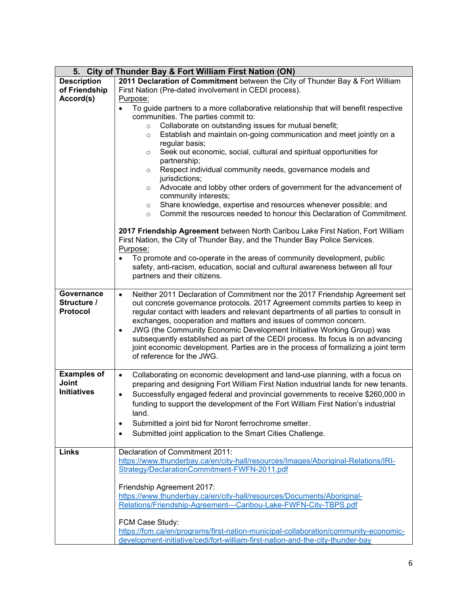|                    | 5. City of Thunder Bay & Fort William First Nation (ON)                                                                                                        |
|--------------------|----------------------------------------------------------------------------------------------------------------------------------------------------------------|
| <b>Description</b> | 2011 Declaration of Commitment between the City of Thunder Bay & Fort William                                                                                  |
| of Friendship      | First Nation (Pre-dated involvement in CEDI process).                                                                                                          |
| Accord(s)          | Purpose:                                                                                                                                                       |
|                    | To guide partners to a more collaborative relationship that will benefit respective<br>$\bullet$<br>communities. The parties commit to:                        |
|                    | Collaborate on outstanding issues for mutual benefit;<br>$\circ$                                                                                               |
|                    | Establish and maintain on-going communication and meet jointly on a<br>$\circ$                                                                                 |
|                    | regular basis;                                                                                                                                                 |
|                    | Seek out economic, social, cultural and spiritual opportunities for<br>$\circ$<br>partnership;                                                                 |
|                    | Respect individual community needs, governance models and<br>$\circ$<br>jurisdictions;                                                                         |
|                    | Advocate and lobby other orders of government for the advancement of<br>$\circ$                                                                                |
|                    | community interests;                                                                                                                                           |
|                    | Share knowledge, expertise and resources whenever possible; and<br>$\circ$                                                                                     |
|                    | Commit the resources needed to honour this Declaration of Commitment.<br>$\circ$                                                                               |
|                    |                                                                                                                                                                |
|                    | 2017 Friendship Agreement between North Caribou Lake First Nation, Fort William<br>First Nation, the City of Thunder Bay, and the Thunder Bay Police Services. |
|                    | Purpose:                                                                                                                                                       |
|                    | To promote and co-operate in the areas of community development, public                                                                                        |
|                    | safety, anti-racism, education, social and cultural awareness between all four                                                                                 |
|                    | partners and their citizens.                                                                                                                                   |
| Governance         | $\bullet$                                                                                                                                                      |
| Structure /        | Neither 2011 Declaration of Commitment nor the 2017 Friendship Agreement set<br>out concrete governance protocols. 2017 Agreement commits parties to keep in   |
| <b>Protocol</b>    | regular contact with leaders and relevant departments of all parties to consult in                                                                             |
|                    | exchanges, cooperation and matters and issues of common concern.                                                                                               |
|                    | JWG (the Community Economic Development Initiative Working Group) was<br>$\bullet$                                                                             |
|                    | subsequently established as part of the CEDI process. Its focus is on advancing                                                                                |
|                    | joint economic development. Parties are in the process of formalizing a joint term                                                                             |
|                    | of reference for the JWG.                                                                                                                                      |
|                    |                                                                                                                                                                |
| <b>Examples of</b> | Collaborating on economic development and land-use planning, with a focus on<br>$\bullet$                                                                      |
| Joint              | preparing and designing Fort William First Nation industrial lands for new tenants.                                                                            |
| <b>Initiatives</b> | Successfully engaged federal and provincial governments to receive \$260,000 in<br>$\bullet$                                                                   |
|                    | funding to support the development of the Fort William First Nation's industrial                                                                               |
|                    | land.                                                                                                                                                          |
|                    | Submitted a joint bid for Noront ferrochrome smelter.                                                                                                          |
|                    |                                                                                                                                                                |
|                    | Submitted joint application to the Smart Cities Challenge.                                                                                                     |
| <b>Links</b>       | Declaration of Commitment 2011:                                                                                                                                |
|                    | https://www.thunderbay.ca/en/city-hall/resources/Images/Aboriginal-Relations/IRI-                                                                              |
|                    | Strategy/DeclarationCommitment-FWFN-2011.pdf                                                                                                                   |
|                    |                                                                                                                                                                |
|                    | Friendship Agreement 2017:                                                                                                                                     |
|                    | https://www.thunderbay.ca/en/city-hall/resources/Documents/Aboriginal-                                                                                         |
|                    | Relations/Friendship-Agreement---Caribou-Lake-FWFN-City-TBPS.pdf                                                                                               |
|                    |                                                                                                                                                                |
|                    | FCM Case Study:                                                                                                                                                |
|                    | https://fcm.ca/en/programs/first-nation-municipal-collaboration/community-economic-                                                                            |
|                    | development-initiative/cedi/fort-william-first-nation-and-the-city-thunder-bay                                                                                 |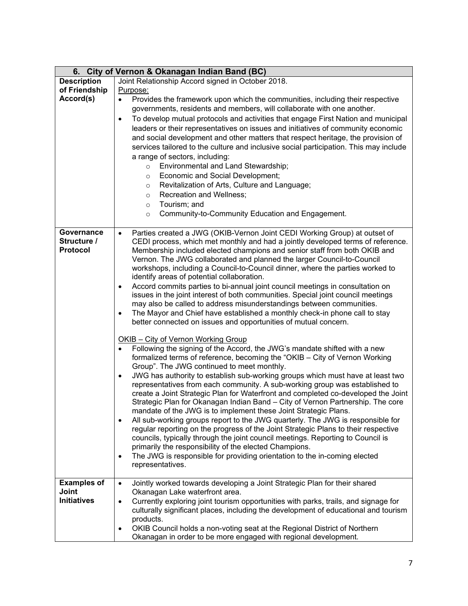| 6. City of Vernon & Okanagan Indian Band (BC)     |                                                                                                                                                                                                                                                                                                                                                                                                                                                                                                                                                                                                                                                                                                                                                                                                                                                                                                                                                                                                                          |
|---------------------------------------------------|--------------------------------------------------------------------------------------------------------------------------------------------------------------------------------------------------------------------------------------------------------------------------------------------------------------------------------------------------------------------------------------------------------------------------------------------------------------------------------------------------------------------------------------------------------------------------------------------------------------------------------------------------------------------------------------------------------------------------------------------------------------------------------------------------------------------------------------------------------------------------------------------------------------------------------------------------------------------------------------------------------------------------|
| <b>Description</b>                                | Joint Relationship Accord signed in October 2018.                                                                                                                                                                                                                                                                                                                                                                                                                                                                                                                                                                                                                                                                                                                                                                                                                                                                                                                                                                        |
| of Friendship                                     | Purpose:                                                                                                                                                                                                                                                                                                                                                                                                                                                                                                                                                                                                                                                                                                                                                                                                                                                                                                                                                                                                                 |
| Accord(s)                                         | Provides the framework upon which the communities, including their respective<br>$\bullet$<br>governments, residents and members, will collaborate with one another.<br>To develop mutual protocols and activities that engage First Nation and municipal<br>$\bullet$<br>leaders or their representatives on issues and initiatives of community economic<br>and social development and other matters that respect heritage, the provision of                                                                                                                                                                                                                                                                                                                                                                                                                                                                                                                                                                           |
|                                                   | services tailored to the culture and inclusive social participation. This may include<br>a range of sectors, including:<br>Environmental and Land Stewardship;<br>$\circ$<br>Economic and Social Development;<br>$\circ$<br>Revitalization of Arts, Culture and Language;<br>$\circ$<br><b>Recreation and Wellness;</b><br>$\circ$<br>Tourism; and<br>$\circ$                                                                                                                                                                                                                                                                                                                                                                                                                                                                                                                                                                                                                                                            |
|                                                   | Community-to-Community Education and Engagement.<br>$\circ$                                                                                                                                                                                                                                                                                                                                                                                                                                                                                                                                                                                                                                                                                                                                                                                                                                                                                                                                                              |
| Governance<br>Structure /<br>Protocol             | Parties created a JWG (OKIB-Vernon Joint CEDI Working Group) at outset of<br>$\bullet$<br>CEDI process, which met monthly and had a jointly developed terms of reference.<br>Membership included elected champions and senior staff from both OKIB and<br>Vernon. The JWG collaborated and planned the larger Council-to-Council<br>workshops, including a Council-to-Council dinner, where the parties worked to<br>identify areas of potential collaboration.<br>Accord commits parties to bi-annual joint council meetings in consultation on<br>$\bullet$<br>issues in the joint interest of both communities. Special joint council meetings<br>may also be called to address misunderstandings between communities.<br>The Mayor and Chief have established a monthly check-in phone call to stay<br>$\bullet$<br>better connected on issues and opportunities of mutual concern.<br>OKIB - City of Vernon Working Group<br>Following the signing of the Accord, the JWG's mandate shifted with a new<br>$\bullet$ |
|                                                   | formalized terms of reference, becoming the "OKIB - City of Vernon Working<br>Group". The JWG continued to meet monthly.<br>JWG has authority to establish sub-working groups which must have at least two<br>$\bullet$<br>representatives from each community. A sub-working group was established to<br>create a Joint Strategic Plan for Waterfront and completed co-developed the Joint<br>Strategic Plan for Okanagan Indian Band - City of Vernon Partnership. The core<br>mandate of the JWG is to implement these Joint Strategic Plans.<br>All sub-working groups report to the JWG quarterly. The JWG is responsible for<br>$\bullet$<br>regular reporting on the progress of the Joint Strategic Plans to their respective<br>councils, typically through the joint council meetings. Reporting to Council is<br>primarily the responsibility of the elected Champions.<br>The JWG is responsible for providing orientation to the in-coming elected<br>$\bullet$<br>representatives.                         |
| <b>Examples of</b><br>Joint<br><b>Initiatives</b> | Jointly worked towards developing a Joint Strategic Plan for their shared<br>$\bullet$<br>Okanagan Lake waterfront area.<br>Currently exploring joint tourism opportunities with parks, trails, and signage for<br>$\bullet$<br>culturally significant places, including the development of educational and tourism<br>products.<br>OKIB Council holds a non-voting seat at the Regional District of Northern<br>$\bullet$<br>Okanagan in order to be more engaged with regional development.                                                                                                                                                                                                                                                                                                                                                                                                                                                                                                                            |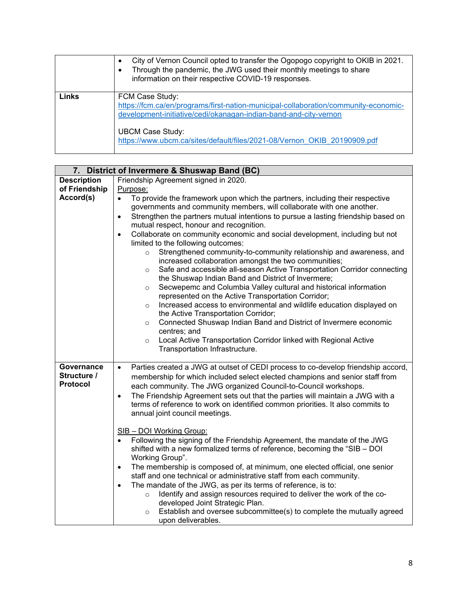|       | City of Vernon Council opted to transfer the Ogopogo copyright to OKIB in 2021.<br>$\bullet$<br>Through the pandemic, the JWG used their monthly meetings to share<br>$\bullet$<br>information on their respective COVID-19 responses. |
|-------|----------------------------------------------------------------------------------------------------------------------------------------------------------------------------------------------------------------------------------------|
| Links | FCM Case Study:<br>https://fcm.ca/en/programs/first-nation-municipal-collaboration/community-economic-<br>development-initiative/cedi/okanagan-indian-band-and-city-vernon                                                             |
|       | <b>UBCM Case Study:</b><br>https://www.ubcm.ca/sites/default/files/2021-08/Vernon OKIB 20190909.pdf                                                                                                                                    |

|                                              | 7. District of Invermere & Shuswap Band (BC)                                                                                                                                                                                                                                                                                                                                                                                                                                                                                                                                                                                                                                                                                                                                                                                                                                                                                                                                                                                                                                                                                                                                                                              |
|----------------------------------------------|---------------------------------------------------------------------------------------------------------------------------------------------------------------------------------------------------------------------------------------------------------------------------------------------------------------------------------------------------------------------------------------------------------------------------------------------------------------------------------------------------------------------------------------------------------------------------------------------------------------------------------------------------------------------------------------------------------------------------------------------------------------------------------------------------------------------------------------------------------------------------------------------------------------------------------------------------------------------------------------------------------------------------------------------------------------------------------------------------------------------------------------------------------------------------------------------------------------------------|
| <b>Description</b>                           | Friendship Agreement signed in 2020.                                                                                                                                                                                                                                                                                                                                                                                                                                                                                                                                                                                                                                                                                                                                                                                                                                                                                                                                                                                                                                                                                                                                                                                      |
| of Friendship                                | Purpose:                                                                                                                                                                                                                                                                                                                                                                                                                                                                                                                                                                                                                                                                                                                                                                                                                                                                                                                                                                                                                                                                                                                                                                                                                  |
| Accord(s)                                    | To provide the framework upon which the partners, including their respective<br>$\bullet$<br>governments and community members, will collaborate with one another.<br>Strengthen the partners mutual intentions to pursue a lasting friendship based on<br>$\bullet$<br>mutual respect, honour and recognition.<br>Collaborate on community economic and social development, including but not<br>$\bullet$<br>limited to the following outcomes:<br>Strengthened community-to-community relationship and awareness, and<br>$\circ$<br>increased collaboration amongst the two communities;<br>Safe and accessible all-season Active Transportation Corridor connecting<br>$\circ$<br>the Shuswap Indian Band and District of Invermere;<br>Secwepemc and Columbia Valley cultural and historical information<br>$\circ$<br>represented on the Active Transportation Corridor;<br>Increased access to environmental and wildlife education displayed on<br>$\circ$<br>the Active Transportation Corridor;<br>Connected Shuswap Indian Band and District of Invermere economic<br>$\circ$<br>centres; and<br>Local Active Transportation Corridor linked with Regional Active<br>$\circ$<br>Transportation Infrastructure. |
| Governance<br>Structure /<br><b>Protocol</b> | Parties created a JWG at outset of CEDI process to co-develop friendship accord,<br>$\bullet$<br>membership for which included select elected champions and senior staff from<br>each community. The JWG organized Council-to-Council workshops.<br>The Friendship Agreement sets out that the parties will maintain a JWG with a<br>$\bullet$<br>terms of reference to work on identified common priorities. It also commits to<br>annual joint council meetings.<br>SIB - DOI Working Group:<br>Following the signing of the Friendship Agreement, the mandate of the JWG<br>$\bullet$<br>shifted with a new formalized terms of reference, becoming the "SIB - DOI<br>Working Group".<br>The membership is composed of, at minimum, one elected official, one senior<br>$\bullet$<br>staff and one technical or administrative staff from each community.<br>The mandate of the JWG, as per its terms of reference, is to:<br>$\bullet$<br>Identify and assign resources required to deliver the work of the co-<br>$\circ$<br>developed Joint Strategic Plan.<br>Establish and oversee subcommittee(s) to complete the mutually agreed<br>$\circ$<br>upon deliverables.                                               |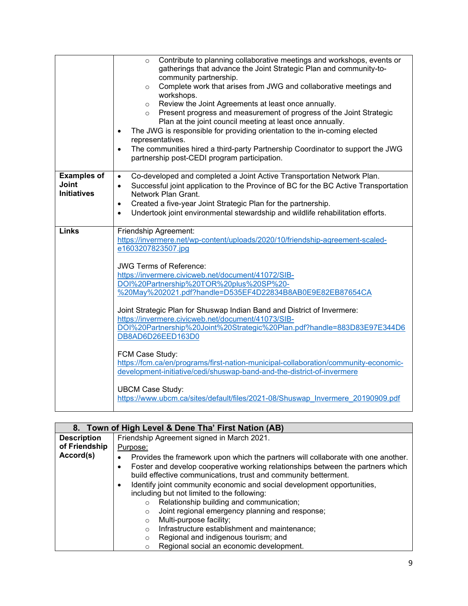|                                                          | Contribute to planning collaborative meetings and workshops, events or<br>$\circ$<br>gatherings that advance the Joint Strategic Plan and community-to-<br>community partnership.<br>Complete work that arises from JWG and collaborative meetings and<br>$\circ$<br>workshops.<br>Review the Joint Agreements at least once annually.<br>$\circ$<br>Present progress and measurement of progress of the Joint Strategic<br>$\circ$<br>Plan at the joint council meeting at least once annually.<br>The JWG is responsible for providing orientation to the in-coming elected<br>$\bullet$<br>representatives.<br>The communities hired a third-party Partnership Coordinator to support the JWG<br>$\bullet$<br>partnership post-CEDI program participation.                                                                                                  |
|----------------------------------------------------------|----------------------------------------------------------------------------------------------------------------------------------------------------------------------------------------------------------------------------------------------------------------------------------------------------------------------------------------------------------------------------------------------------------------------------------------------------------------------------------------------------------------------------------------------------------------------------------------------------------------------------------------------------------------------------------------------------------------------------------------------------------------------------------------------------------------------------------------------------------------|
| <b>Examples of</b><br><b>Joint</b><br><b>Initiatives</b> | Co-developed and completed a Joint Active Transportation Network Plan.<br>$\bullet$<br>Successful joint application to the Province of BC for the BC Active Transportation<br>$\bullet$<br>Network Plan Grant.<br>Created a five-year Joint Strategic Plan for the partnership.<br>$\bullet$<br>Undertook joint environmental stewardship and wildlife rehabilitation efforts.<br>$\bullet$                                                                                                                                                                                                                                                                                                                                                                                                                                                                    |
| <b>Links</b>                                             | Friendship Agreement:<br>https://invermere.net/wp-content/uploads/2020/10/friendship-agreement-scaled-<br>e1603207823507.jpg<br><b>JWG Terms of Reference:</b><br>https://invermere.civicweb.net/document/41072/SIB-<br>DOI%20Partnership%20TOR%20plus%20SP%20-<br>%20May%202021.pdf?handle=D535EF4D22834B8AB0E9E82EB87654CA<br>Joint Strategic Plan for Shuswap Indian Band and District of Invermere:<br>https://invermere.civicweb.net/document/41073/SIB-<br>DOI%20Partnership%20Joint%20Strategic%20Plan.pdf?handle=883D83E97E344D6<br>DB8AD6D26EED163D0<br>FCM Case Study:<br>https://fcm.ca/en/programs/first-nation-municipal-collaboration/community-economic-<br>development-initiative/cedi/shuswap-band-and-the-district-of-invermere<br><b>UBCM Case Study:</b><br>https://www.ubcm.ca/sites/default/files/2021-08/Shuswap Invermere 20190909.pdf |

| 8. Town of High Level & Dene Tha' First Nation (AB) |                                                                                   |  |
|-----------------------------------------------------|-----------------------------------------------------------------------------------|--|
| <b>Description</b>                                  | Friendship Agreement signed in March 2021.                                        |  |
| of Friendship                                       | Purpose:                                                                          |  |
| Accord(s)                                           | Provides the framework upon which the partners will collaborate with one another. |  |
|                                                     | Foster and develop cooperative working relationships between the partners which   |  |
|                                                     | build effective communications, trust and community betterment.                   |  |
|                                                     | Identify joint community economic and social development opportunities,<br>٠      |  |
|                                                     | including but not limited to the following:                                       |  |
|                                                     | Relationship building and communication;<br>$\circ$                               |  |
|                                                     | Joint regional emergency planning and response;<br>O                              |  |
|                                                     | Multi-purpose facility;<br>O                                                      |  |
|                                                     | Infrastructure establishment and maintenance;<br>$\circ$                          |  |
|                                                     | Regional and indigenous tourism; and<br>O                                         |  |
|                                                     | Regional social an economic development.<br>O                                     |  |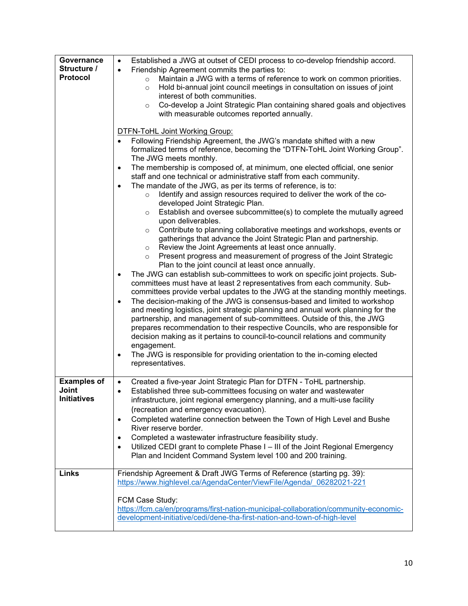| Governance         | Established a JWG at outset of CEDI process to co-develop friendship accord.<br>$\bullet$                                                                                |  |  |
|--------------------|--------------------------------------------------------------------------------------------------------------------------------------------------------------------------|--|--|
| Structure /        | Friendship Agreement commits the parties to:<br>$\bullet$                                                                                                                |  |  |
| <b>Protocol</b>    | Maintain a JWG with a terms of reference to work on common priorities.<br>$\circ$                                                                                        |  |  |
|                    | Hold bi-annual joint council meetings in consultation on issues of joint<br>$\circ$                                                                                      |  |  |
|                    | interest of both communities.                                                                                                                                            |  |  |
|                    | Co-develop a Joint Strategic Plan containing shared goals and objectives<br>$\circ$                                                                                      |  |  |
|                    | with measurable outcomes reported annually.                                                                                                                              |  |  |
|                    |                                                                                                                                                                          |  |  |
|                    | <b>DTFN-ToHL Joint Working Group:</b>                                                                                                                                    |  |  |
|                    | Following Friendship Agreement, the JWG's mandate shifted with a new                                                                                                     |  |  |
|                    | formalized terms of reference, becoming the "DTFN-ToHL Joint Working Group".<br>The JWG meets monthly.                                                                   |  |  |
|                    | The membership is composed of, at minimum, one elected official, one senior<br>$\bullet$                                                                                 |  |  |
|                    | staff and one technical or administrative staff from each community.                                                                                                     |  |  |
|                    | The mandate of the JWG, as per its terms of reference, is to:<br>$\bullet$                                                                                               |  |  |
|                    | Identify and assign resources required to deliver the work of the co-<br>$\circ$                                                                                         |  |  |
|                    | developed Joint Strategic Plan.                                                                                                                                          |  |  |
|                    | Establish and oversee subcommittee(s) to complete the mutually agreed<br>$\circ$                                                                                         |  |  |
|                    | upon deliverables.                                                                                                                                                       |  |  |
|                    | Contribute to planning collaborative meetings and workshops, events or<br>$\circ$                                                                                        |  |  |
|                    | gatherings that advance the Joint Strategic Plan and partnership.                                                                                                        |  |  |
|                    | Review the Joint Agreements at least once annually.<br>$\circ$                                                                                                           |  |  |
|                    | Present progress and measurement of progress of the Joint Strategic<br>$\circ$                                                                                           |  |  |
|                    | Plan to the joint council at least once annually.                                                                                                                        |  |  |
|                    | The JWG can establish sub-committees to work on specific joint projects. Sub-<br>$\bullet$                                                                               |  |  |
|                    | committees must have at least 2 representatives from each community. Sub-                                                                                                |  |  |
|                    | committees provide verbal updates to the JWG at the standing monthly meetings.<br>The decision-making of the JWG is consensus-based and limited to workshop<br>$\bullet$ |  |  |
|                    | and meeting logistics, joint strategic planning and annual work planning for the                                                                                         |  |  |
|                    | partnership, and management of sub-committees. Outside of this, the JWG                                                                                                  |  |  |
|                    | prepares recommendation to their respective Councils, who are responsible for                                                                                            |  |  |
|                    | decision making as it pertains to council-to-council relations and community                                                                                             |  |  |
|                    | engagement.                                                                                                                                                              |  |  |
|                    | The JWG is responsible for providing orientation to the in-coming elected<br>$\bullet$                                                                                   |  |  |
|                    | representatives.                                                                                                                                                         |  |  |
|                    |                                                                                                                                                                          |  |  |
| <b>Examples of</b> | Created a five-year Joint Strategic Plan for DTFN - ToHL partnership.<br>$\bullet$                                                                                       |  |  |
| Joint              | Established three sub-committees focusing on water and wastewater<br>$\bullet$                                                                                           |  |  |
| <b>Initiatives</b> | infrastructure, joint regional emergency planning, and a multi-use facility                                                                                              |  |  |
|                    | (recreation and emergency evacuation).                                                                                                                                   |  |  |
|                    | Completed waterline connection between the Town of High Level and Bushe<br>$\bullet$                                                                                     |  |  |
|                    | River reserve border.                                                                                                                                                    |  |  |
|                    | Completed a wastewater infrastructure feasibility study.<br>٠                                                                                                            |  |  |
|                    | Utilized CEDI grant to complete Phase I - III of the Joint Regional Emergency<br>$\bullet$                                                                               |  |  |
|                    | Plan and Incident Command System level 100 and 200 training.                                                                                                             |  |  |
| Links              | Friendship Agreement & Draft JWG Terms of Reference (starting pg. 39):                                                                                                   |  |  |
|                    | https://www.highlevel.ca/AgendaCenter/ViewFile/Agenda/ 06282021-221                                                                                                      |  |  |
|                    |                                                                                                                                                                          |  |  |
|                    | FCM Case Study:                                                                                                                                                          |  |  |
|                    | https://fcm.ca/en/programs/first-nation-municipal-collaboration/community-economic-                                                                                      |  |  |
|                    | development-initiative/cedi/dene-tha-first-nation-and-town-of-high-level                                                                                                 |  |  |
|                    |                                                                                                                                                                          |  |  |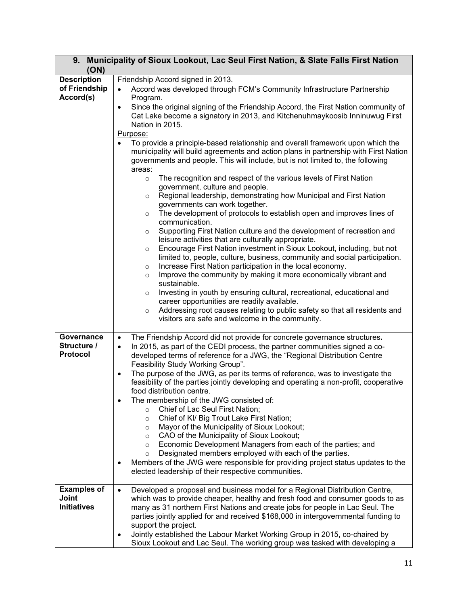| (ON)               | 9. Municipality of Sioux Lookout, Lac Seul First Nation, & Slate Falls First Nation             |  |  |
|--------------------|-------------------------------------------------------------------------------------------------|--|--|
| <b>Description</b> | Friendship Accord signed in 2013.                                                               |  |  |
| of Friendship      | Accord was developed through FCM's Community Infrastructure Partnership<br>$\bullet$            |  |  |
| Accord(s)          | Program.                                                                                        |  |  |
|                    | Since the original signing of the Friendship Accord, the First Nation community of<br>$\bullet$ |  |  |
|                    | Cat Lake become a signatory in 2013, and Kitchenuhmaykoosib Inninuwug First                     |  |  |
|                    | Nation in 2015.                                                                                 |  |  |
|                    | Purpose:                                                                                        |  |  |
|                    | To provide a principle-based relationship and overall framework upon which the<br>$\bullet$     |  |  |
|                    | municipality will build agreements and action plans in partnership with First Nation            |  |  |
|                    | governments and people. This will include, but is not limited to, the following                 |  |  |
|                    | areas:                                                                                          |  |  |
|                    | The recognition and respect of the various levels of First Nation<br>$\circ$                    |  |  |
|                    | government, culture and people.                                                                 |  |  |
|                    | Regional leadership, demonstrating how Municipal and First Nation<br>$\circ$                    |  |  |
|                    | governments can work together.                                                                  |  |  |
|                    | The development of protocols to establish open and improves lines of<br>$\circ$                 |  |  |
|                    | communication.                                                                                  |  |  |
|                    | Supporting First Nation culture and the development of recreation and<br>$\circ$                |  |  |
|                    | leisure activities that are culturally appropriate.                                             |  |  |
|                    | Encourage First Nation investment in Sioux Lookout, including, but not<br>$\circ$               |  |  |
|                    | limited to, people, culture, business, community and social participation.                      |  |  |
|                    | Increase First Nation participation in the local economy.<br>$\circ$                            |  |  |
|                    | Improve the community by making it more economically vibrant and<br>$\circ$                     |  |  |
|                    | sustainable.                                                                                    |  |  |
|                    | Investing in youth by ensuring cultural, recreational, educational and                          |  |  |
|                    | $\circ$<br>career opportunities are readily available.                                          |  |  |
|                    | Addressing root causes relating to public safety so that all residents and<br>$\circ$           |  |  |
|                    | visitors are safe and welcome in the community.                                                 |  |  |
|                    |                                                                                                 |  |  |
| Governance         | The Friendship Accord did not provide for concrete governance structures.<br>$\bullet$          |  |  |
| Structure /        | In 2015, as part of the CEDI process, the partner communities signed a co-<br>$\bullet$         |  |  |
| <b>Protocol</b>    | developed terms of reference for a JWG, the "Regional Distribution Centre                       |  |  |
|                    | Feasibility Study Working Group".                                                               |  |  |
|                    | The purpose of the JWG, as per its terms of reference, was to investigate the<br>$\bullet$      |  |  |
|                    | feasibility of the parties jointly developing and operating a non-profit, cooperative           |  |  |
|                    | food distribution centre.                                                                       |  |  |
|                    | The membership of the JWG consisted of:                                                         |  |  |
|                    | Chief of Lac Seul First Nation;<br>$\circ$                                                      |  |  |
|                    | Chief of KI/ Big Trout Lake First Nation;<br>$\circ$                                            |  |  |
|                    | Mayor of the Municipality of Sioux Lookout;<br>$\circ$                                          |  |  |
|                    | CAO of the Municipality of Sioux Lookout;<br>$\circ$                                            |  |  |
|                    | Economic Development Managers from each of the parties; and<br>$\circ$                          |  |  |
|                    | Designated members employed with each of the parties.<br>$\circ$                                |  |  |
|                    | Members of the JWG were responsible for providing project status updates to the                 |  |  |
|                    | elected leadership of their respective communities.                                             |  |  |
|                    |                                                                                                 |  |  |
| <b>Examples of</b> | Developed a proposal and business model for a Regional Distribution Centre,<br>$\bullet$        |  |  |
| Joint              | which was to provide cheaper, healthy and fresh food and consumer goods to as                   |  |  |
| <b>Initiatives</b> | many as 31 northern First Nations and create jobs for people in Lac Seul. The                   |  |  |
|                    | parties jointly applied for and received \$168,000 in intergovernmental funding to              |  |  |
|                    | support the project.                                                                            |  |  |
|                    | Jointly established the Labour Market Working Group in 2015, co-chaired by<br>$\bullet$         |  |  |
|                    | Sioux Lookout and Lac Seul. The working group was tasked with developing a                      |  |  |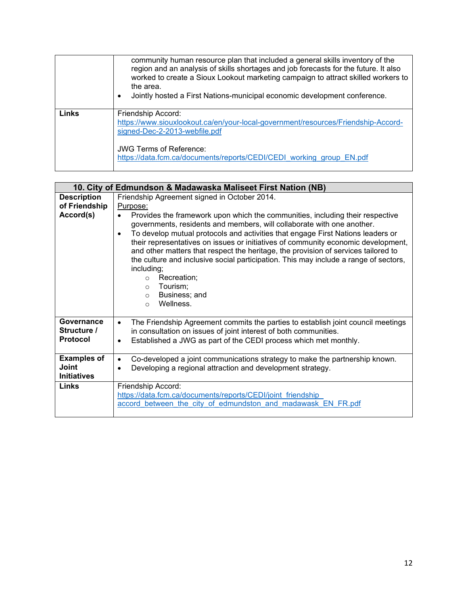|              | community human resource plan that included a general skills inventory of the<br>region and an analysis of skills shortages and job forecasts for the future. It also<br>worked to create a Sioux Lookout marketing campaign to attract skilled workers to<br>the area.<br>Jointly hosted a First Nations-municipal economic development conference.<br>$\bullet$ |
|--------------|-------------------------------------------------------------------------------------------------------------------------------------------------------------------------------------------------------------------------------------------------------------------------------------------------------------------------------------------------------------------|
| <b>Links</b> | Friendship Accord:<br>https://www.siouxlookout.ca/en/your-local-government/resources/Friendship-Accord-<br>signed-Dec-2-2013-webfile.pdf                                                                                                                                                                                                                          |
|              | <b>JWG Terms of Reference:</b><br>https://data.fcm.ca/documents/reports/CEDI/CEDI working group EN.pdf                                                                                                                                                                                                                                                            |

|                                                   | 10. City of Edmundson & Madawaska Maliseet First Nation (NB)                                                                                                                                                                                                                                                                                                                                                                                                                                                                                                                                                                                                 |  |
|---------------------------------------------------|--------------------------------------------------------------------------------------------------------------------------------------------------------------------------------------------------------------------------------------------------------------------------------------------------------------------------------------------------------------------------------------------------------------------------------------------------------------------------------------------------------------------------------------------------------------------------------------------------------------------------------------------------------------|--|
| <b>Description</b>                                | Friendship Agreement signed in October 2014.                                                                                                                                                                                                                                                                                                                                                                                                                                                                                                                                                                                                                 |  |
| of Friendship                                     | Purpose:                                                                                                                                                                                                                                                                                                                                                                                                                                                                                                                                                                                                                                                     |  |
| Accord(s)                                         | Provides the framework upon which the communities, including their respective<br>$\bullet$<br>governments, residents and members, will collaborate with one another.<br>To develop mutual protocols and activities that engage First Nations leaders or<br>$\bullet$<br>their representatives on issues or initiatives of community economic development,<br>and other matters that respect the heritage, the provision of services tailored to<br>the culture and inclusive social participation. This may include a range of sectors,<br>including;<br>Recreation;<br>$\circ$<br>Tourism;<br>$\Omega$<br>Business; and<br>$\circ$<br>Wellness.<br>$\Omega$ |  |
| Governance<br>Structure /<br><b>Protocol</b>      | The Friendship Agreement commits the parties to establish joint council meetings<br>$\bullet$<br>in consultation on issues of joint interest of both communities.<br>Established a JWG as part of the CEDI process which met monthly.<br>$\bullet$                                                                                                                                                                                                                                                                                                                                                                                                           |  |
| <b>Examples of</b><br>Joint<br><b>Initiatives</b> | Co-developed a joint communications strategy to make the partnership known.<br>$\bullet$<br>Developing a regional attraction and development strategy.<br>$\bullet$                                                                                                                                                                                                                                                                                                                                                                                                                                                                                          |  |
| Links                                             | Friendship Accord:<br>https://data.fcm.ca/documents/reports/CEDI/joint friendship<br>accord between the city of edmundston and madawask EN FR.pdf                                                                                                                                                                                                                                                                                                                                                                                                                                                                                                            |  |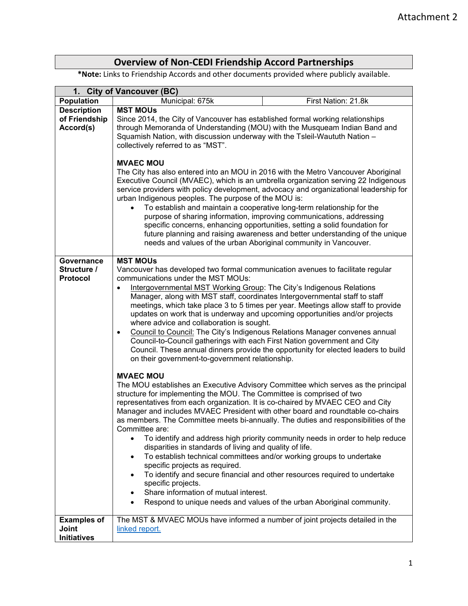# **Overview of Non-CEDI Friendship Accord Partnerships**

**\*Note:** Links to Friendship Accords and other documents provided where publicly available.

|                                                   | 1. City of Vancouver (BC)                                                                                                                                                                                                                                                                                                                                                                                                                                                                                                                                                                                                                                                                                                                                                                                                                                                                                                                                                                                                                                                                                                                                                                                                                                                                                                                                                                                                                                                                                                                                                                                                                                                                                                                                                                               |  |
|---------------------------------------------------|---------------------------------------------------------------------------------------------------------------------------------------------------------------------------------------------------------------------------------------------------------------------------------------------------------------------------------------------------------------------------------------------------------------------------------------------------------------------------------------------------------------------------------------------------------------------------------------------------------------------------------------------------------------------------------------------------------------------------------------------------------------------------------------------------------------------------------------------------------------------------------------------------------------------------------------------------------------------------------------------------------------------------------------------------------------------------------------------------------------------------------------------------------------------------------------------------------------------------------------------------------------------------------------------------------------------------------------------------------------------------------------------------------------------------------------------------------------------------------------------------------------------------------------------------------------------------------------------------------------------------------------------------------------------------------------------------------------------------------------------------------------------------------------------------------|--|
| <b>Population</b>                                 | Municipal: 675k<br>First Nation: 21.8k                                                                                                                                                                                                                                                                                                                                                                                                                                                                                                                                                                                                                                                                                                                                                                                                                                                                                                                                                                                                                                                                                                                                                                                                                                                                                                                                                                                                                                                                                                                                                                                                                                                                                                                                                                  |  |
| <b>Description</b><br>of Friendship<br>Accord(s)  | <b>MST MOUs</b><br>Since 2014, the City of Vancouver has established formal working relationships<br>through Memoranda of Understanding (MOU) with the Musqueam Indian Band and<br>Squamish Nation, with discussion underway with the Tsleil-Waututh Nation -<br>collectively referred to as "MST".<br><b>MVAEC MOU</b><br>The City has also entered into an MOU in 2016 with the Metro Vancouver Aboriginal<br>Executive Council (MVAEC), which is an umbrella organization serving 22 Indigenous<br>service providers with policy development, advocacy and organizational leadership for<br>urban Indigenous peoples. The purpose of the MOU is:<br>To establish and maintain a cooperative long-term relationship for the<br>purpose of sharing information, improving communications, addressing<br>specific concerns, enhancing opportunities, setting a solid foundation for<br>future planning and raising awareness and better understanding of the unique<br>needs and values of the urban Aboriginal community in Vancouver.                                                                                                                                                                                                                                                                                                                                                                                                                                                                                                                                                                                                                                                                                                                                                                 |  |
| Governance<br>Structure /<br><b>Protocol</b>      | <b>MST MOUs</b><br>Vancouver has developed two formal communication avenues to facilitate regular<br>communications under the MST MOUs:<br>Intergovernmental MST Working Group: The City's Indigenous Relations<br>$\bullet$<br>Manager, along with MST staff, coordinates Intergovernmental staff to staff<br>meetings, which take place 3 to 5 times per year. Meetings allow staff to provide<br>updates on work that is underway and upcoming opportunities and/or projects<br>where advice and collaboration is sought.<br>Council to Council: The City's Indigenous Relations Manager convenes annual<br>٠<br>Council-to-Council gatherings with each First Nation government and City<br>Council. These annual dinners provide the opportunity for elected leaders to build<br>on their government-to-government relationship.<br><b>MVAEC MOU</b><br>The MOU establishes an Executive Advisory Committee which serves as the principal<br>structure for implementing the MOU. The Committee is comprised of two<br>representatives from each organization. It is co-chaired by MVAEC CEO and City<br>Manager and includes MVAEC President with other board and roundtable co-chairs<br>as members. The Committee meets bi-annually. The duties and responsibilities of the<br>Committee are:<br>To identify and address high priority community needs in order to help reduce<br>disparities in standards of living and quality of life.<br>To establish technical committees and/or working groups to undertake<br>$\bullet$<br>specific projects as required.<br>To identify and secure financial and other resources required to undertake<br>٠<br>specific projects.<br>Share information of mutual interest.<br>٠<br>Respond to unique needs and values of the urban Aboriginal community. |  |
| <b>Examples of</b><br>Joint<br><b>Initiatives</b> | The MST & MVAEC MOUs have informed a number of joint projects detailed in the<br>linked report.                                                                                                                                                                                                                                                                                                                                                                                                                                                                                                                                                                                                                                                                                                                                                                                                                                                                                                                                                                                                                                                                                                                                                                                                                                                                                                                                                                                                                                                                                                                                                                                                                                                                                                         |  |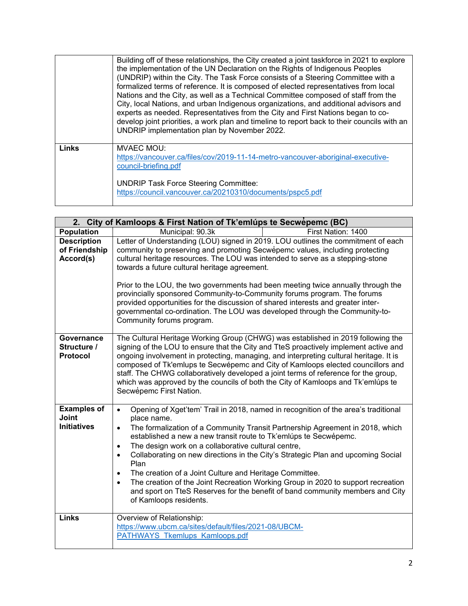|       | Building off of these relationships, the City created a joint taskforce in 2021 to explore<br>the implementation of the UN Declaration on the Rights of Indigenous Peoples<br>(UNDRIP) within the City. The Task Force consists of a Steering Committee with a<br>formalized terms of reference. It is composed of elected representatives from local<br>Nations and the City, as well as a Technical Committee composed of staff from the<br>City, local Nations, and urban Indigenous organizations, and additional advisors and<br>experts as needed. Representatives from the City and First Nations began to co-<br>develop joint priorities, a work plan and timeline to report back to their councils with an<br>UNDRIP implementation plan by November 2022. |
|-------|----------------------------------------------------------------------------------------------------------------------------------------------------------------------------------------------------------------------------------------------------------------------------------------------------------------------------------------------------------------------------------------------------------------------------------------------------------------------------------------------------------------------------------------------------------------------------------------------------------------------------------------------------------------------------------------------------------------------------------------------------------------------|
| Links | MVAEC MOU:<br>https://vancouver.ca/files/cov/2019-11-14-metro-vancouver-aboriginal-executive-<br>council-briefing.pdf<br><b>UNDRIP Task Force Steering Committee:</b><br>https://council.vancouver.ca/20210310/documents/pspc5.pdf                                                                                                                                                                                                                                                                                                                                                                                                                                                                                                                                   |

| 2. City of Kamloops & First Nation of Tk'emlúps te Secwépemc (BC) |                                                                                                                                                                                                                                                                                                                                                                                                                                                                                                                                                                                                                                                                       |                                                                                                                                                                                                                                                                                                                                                                                                                              |
|-------------------------------------------------------------------|-----------------------------------------------------------------------------------------------------------------------------------------------------------------------------------------------------------------------------------------------------------------------------------------------------------------------------------------------------------------------------------------------------------------------------------------------------------------------------------------------------------------------------------------------------------------------------------------------------------------------------------------------------------------------|------------------------------------------------------------------------------------------------------------------------------------------------------------------------------------------------------------------------------------------------------------------------------------------------------------------------------------------------------------------------------------------------------------------------------|
| <b>Population</b>                                                 | Municipal: 90.3k                                                                                                                                                                                                                                                                                                                                                                                                                                                                                                                                                                                                                                                      | First Nation: 1400                                                                                                                                                                                                                                                                                                                                                                                                           |
| <b>Description</b><br>of Friendship<br>Accord(s)                  | Letter of Understanding (LOU) signed in 2019. LOU outlines the commitment of each<br>community to preserving and promoting Secwepemc values, including protecting<br>cultural heritage resources. The LOU was intended to serve as a stepping-stone<br>towards a future cultural heritage agreement.<br>Prior to the LOU, the two governments had been meeting twice annually through the<br>provincially sponsored Community-to-Community forums program. The forums<br>provided opportunities for the discussion of shared interests and greater inter-<br>governmental co-ordination. The LOU was developed through the Community-to-<br>Community forums program. |                                                                                                                                                                                                                                                                                                                                                                                                                              |
| Governance<br>Structure /<br>Protocol                             | The Cultural Heritage Working Group (CHWG) was established in 2019 following the<br>signing of the LOU to ensure that the City and TteS proactively implement active and<br>ongoing involvement in protecting, managing, and interpreting cultural heritage. It is<br>composed of Tk'emlups te Secwépemc and City of Kamloops elected councillors and<br>staff. The CHWG collaboratively developed a joint terms of reference for the group,<br>which was approved by the councils of both the City of Kamloops and Tk'emlúps te<br>Secwepemc First Nation.                                                                                                           |                                                                                                                                                                                                                                                                                                                                                                                                                              |
| <b>Examples of</b><br><b>Joint</b><br><b>Initiatives</b>          | $\bullet$<br>place name.<br>$\bullet$<br>established a new a new transit route to Tk'emlúps te Secwépemc.<br>The design work on a collaborative cultural centre,<br>$\bullet$<br>$\bullet$<br>Plan<br>The creation of a Joint Culture and Heritage Committee.<br>$\bullet$<br>$\bullet$<br>of Kamloops residents.                                                                                                                                                                                                                                                                                                                                                     | Opening of Xget'tem' Trail in 2018, named in recognition of the area's traditional<br>The formalization of a Community Transit Partnership Agreement in 2018, which<br>Collaborating on new directions in the City's Strategic Plan and upcoming Social<br>The creation of the Joint Recreation Working Group in 2020 to support recreation<br>and sport on TteS Reserves for the benefit of band community members and City |
| <b>Links</b>                                                      | Overview of Relationship:<br>https://www.ubcm.ca/sites/default/files/2021-08/UBCM-<br>PATHWAYS Tkemlups Kamloops.pdf                                                                                                                                                                                                                                                                                                                                                                                                                                                                                                                                                  |                                                                                                                                                                                                                                                                                                                                                                                                                              |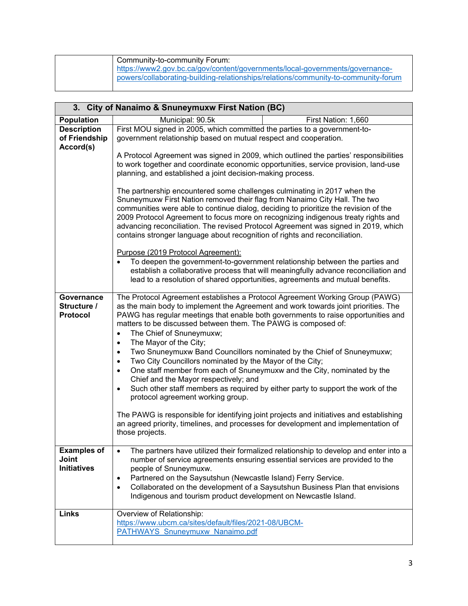| Community-to-community Forum:                                                      |
|------------------------------------------------------------------------------------|
| https://www2.gov.bc.ca/gov/content/governments/local-governments/governance-       |
| powers/collaborating-building-relationships/relations/community-to-community-forum |
|                                                                                    |

| 3. City of Nanaimo & Snuneymuxw First Nation (BC) |                                                                                                                                                                                                                                                                                                                                                                                                                                                                                                                                                                                                                                                                                                                                                                                                                                                                                                                                                                                                               |  |  |
|---------------------------------------------------|---------------------------------------------------------------------------------------------------------------------------------------------------------------------------------------------------------------------------------------------------------------------------------------------------------------------------------------------------------------------------------------------------------------------------------------------------------------------------------------------------------------------------------------------------------------------------------------------------------------------------------------------------------------------------------------------------------------------------------------------------------------------------------------------------------------------------------------------------------------------------------------------------------------------------------------------------------------------------------------------------------------|--|--|
| <b>Population</b>                                 | Municipal: 90.5k<br>First Nation: 1,660                                                                                                                                                                                                                                                                                                                                                                                                                                                                                                                                                                                                                                                                                                                                                                                                                                                                                                                                                                       |  |  |
| <b>Description</b><br>of Friendship<br>Accord(s)  | First MOU signed in 2005, which committed the parties to a government-to-<br>government relationship based on mutual respect and cooperation.                                                                                                                                                                                                                                                                                                                                                                                                                                                                                                                                                                                                                                                                                                                                                                                                                                                                 |  |  |
|                                                   | A Protocol Agreement was signed in 2009, which outlined the parties' responsibilities<br>to work together and coordinate economic opportunities, service provision, land-use<br>planning, and established a joint decision-making process.                                                                                                                                                                                                                                                                                                                                                                                                                                                                                                                                                                                                                                                                                                                                                                    |  |  |
|                                                   | The partnership encountered some challenges culminating in 2017 when the<br>Snuneymuxw First Nation removed their flag from Nanaimo City Hall. The two<br>communities were able to continue dialog, deciding to prioritize the revision of the<br>2009 Protocol Agreement to focus more on recognizing indigenous treaty rights and<br>advancing reconciliation. The revised Protocol Agreement was signed in 2019, which<br>contains stronger language about recognition of rights and reconciliation.                                                                                                                                                                                                                                                                                                                                                                                                                                                                                                       |  |  |
|                                                   | Purpose (2019 Protocol Agreement):<br>To deepen the government-to-government relationship between the parties and<br>establish a collaborative process that will meaningfully advance reconciliation and<br>lead to a resolution of shared opportunities, agreements and mutual benefits.                                                                                                                                                                                                                                                                                                                                                                                                                                                                                                                                                                                                                                                                                                                     |  |  |
| Governance<br>Structure /<br>Protocol             | The Protocol Agreement establishes a Protocol Agreement Working Group (PAWG)<br>as the main body to implement the Agreement and work towards joint priorities. The<br>PAWG has regular meetings that enable both governments to raise opportunities and<br>matters to be discussed between them. The PAWG is composed of:<br>The Chief of Snuneymuxw;<br>$\bullet$<br>The Mayor of the City;<br>٠<br>Two Snuneymuxw Band Councillors nominated by the Chief of Snuneymuxw;<br>٠<br>Two City Councillors nominated by the Mayor of the City;<br>٠<br>One staff member from each of Snuneymuxw and the City, nominated by the<br>$\bullet$<br>Chief and the Mayor respectively; and<br>Such other staff members as required by either party to support the work of the<br>protocol agreement working group.<br>The PAWG is responsible for identifying joint projects and initiatives and establishing<br>an agreed priority, timelines, and processes for development and implementation of<br>those projects. |  |  |
| <b>Examples of</b><br>Joint<br><b>Initiatives</b> | The partners have utilized their formalized relationship to develop and enter into a<br>$\bullet$<br>number of service agreements ensuring essential services are provided to the<br>people of Snuneymuxw.<br>Partnered on the Saysutshun (Newcastle Island) Ferry Service.<br>$\bullet$<br>Collaborated on the development of a Saysutshun Business Plan that envisions<br>$\bullet$<br>Indigenous and tourism product development on Newcastle Island.                                                                                                                                                                                                                                                                                                                                                                                                                                                                                                                                                      |  |  |
| Links                                             | Overview of Relationship:<br>https://www.ubcm.ca/sites/default/files/2021-08/UBCM-<br>PATHWAYS Snuneymuxw Nanaimo.pdf                                                                                                                                                                                                                                                                                                                                                                                                                                                                                                                                                                                                                                                                                                                                                                                                                                                                                         |  |  |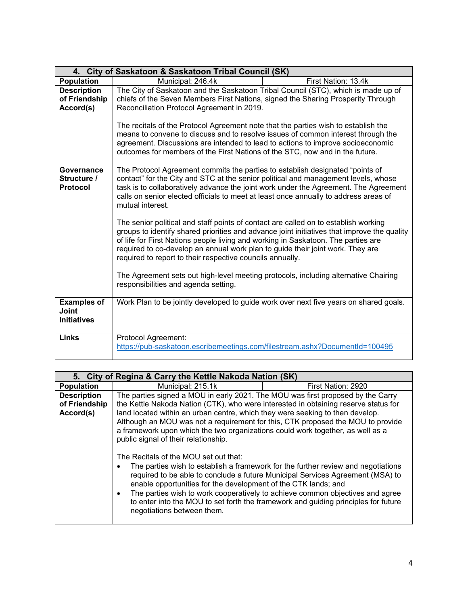| 4. City of Saskatoon & Saskatoon Tribal Council (SK)     |                                                                                                                                                                                                                                                                                                                                                                                                                        |  |
|----------------------------------------------------------|------------------------------------------------------------------------------------------------------------------------------------------------------------------------------------------------------------------------------------------------------------------------------------------------------------------------------------------------------------------------------------------------------------------------|--|
| <b>Population</b>                                        | First Nation: 13.4k<br>Municipal: 246.4k                                                                                                                                                                                                                                                                                                                                                                               |  |
| <b>Description</b><br>of Friendship<br>Accord(s)         | The City of Saskatoon and the Saskatoon Tribal Council (STC), which is made up of<br>chiefs of the Seven Members First Nations, signed the Sharing Prosperity Through<br>Reconciliation Protocol Agreement in 2019.<br>The recitals of the Protocol Agreement note that the parties wish to establish the                                                                                                              |  |
|                                                          | means to convene to discuss and to resolve issues of common interest through the<br>agreement. Discussions are intended to lead to actions to improve socioeconomic<br>outcomes for members of the First Nations of the STC, now and in the future.                                                                                                                                                                    |  |
| Governance<br>Structure /<br><b>Protocol</b>             | The Protocol Agreement commits the parties to establish designated "points of<br>contact" for the City and STC at the senior political and management levels, whose<br>task is to collaboratively advance the joint work under the Agreement. The Agreement<br>calls on senior elected officials to meet at least once annually to address areas of<br>mutual interest.                                                |  |
|                                                          | The senior political and staff points of contact are called on to establish working<br>groups to identify shared priorities and advance joint initiatives that improve the quality<br>of life for First Nations people living and working in Saskatoon. The parties are<br>required to co-develop an annual work plan to guide their joint work. They are<br>required to report to their respective councils annually. |  |
|                                                          | The Agreement sets out high-level meeting protocols, including alternative Chairing<br>responsibilities and agenda setting.                                                                                                                                                                                                                                                                                            |  |
| <b>Examples of</b><br><b>Joint</b><br><b>Initiatives</b> | Work Plan to be jointly developed to guide work over next five years on shared goals.                                                                                                                                                                                                                                                                                                                                  |  |
| Links                                                    | Protocol Agreement:<br>https://pub-saskatoon.escribemeetings.com/filestream.ashx?DocumentId=100495                                                                                                                                                                                                                                                                                                                     |  |

|                                                  | 5. City of Regina & Carry the Kettle Nakoda Nation (SK)                                                                                                                                                                                                                                                                                                                                                                                                                                                                                                                                                                    |                                                                                                                                                                                                                                                                                                                                            |  |
|--------------------------------------------------|----------------------------------------------------------------------------------------------------------------------------------------------------------------------------------------------------------------------------------------------------------------------------------------------------------------------------------------------------------------------------------------------------------------------------------------------------------------------------------------------------------------------------------------------------------------------------------------------------------------------------|--------------------------------------------------------------------------------------------------------------------------------------------------------------------------------------------------------------------------------------------------------------------------------------------------------------------------------------------|--|
| <b>Population</b>                                | Municipal: 215.1k                                                                                                                                                                                                                                                                                                                                                                                                                                                                                                                                                                                                          | First Nation: 2920                                                                                                                                                                                                                                                                                                                         |  |
| <b>Description</b><br>of Friendship<br>Accord(s) | The parties signed a MOU in early 2021. The MOU was first proposed by the Carry<br>the Kettle Nakoda Nation (CTK), who were interested in obtaining reserve status for<br>land located within an urban centre, which they were seeking to then develop.<br>Although an MOU was not a requirement for this, CTK proposed the MOU to provide<br>a framework upon which the two organizations could work together, as well as a<br>public signal of their relationship.<br>The Recitals of the MOU set out that:<br>enable opportunities for the development of the CTK lands; and<br>$\bullet$<br>negotiations between them. | The parties wish to establish a framework for the further review and negotiations<br>required to be able to conclude a future Municipal Services Agreement (MSA) to<br>The parties wish to work cooperatively to achieve common objectives and agree<br>to enter into the MOU to set forth the framework and guiding principles for future |  |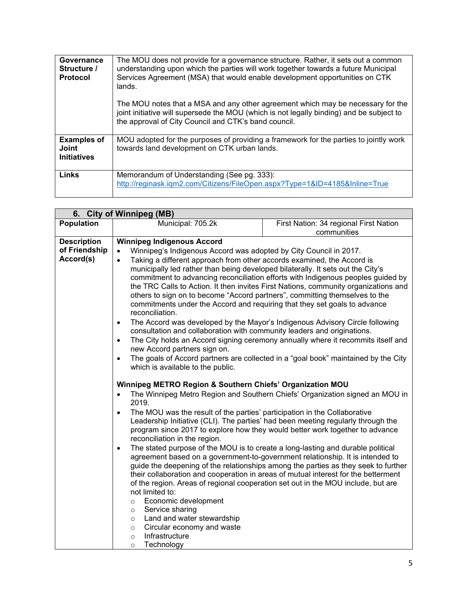| Governance<br>Structure /<br><b>Protocol</b>             | The MOU does not provide for a governance structure. Rather, it sets out a common<br>understanding upon which the parties will work together towards a future Municipal<br>Services Agreement (MSA) that would enable development opportunities on CTK<br>lands.<br>The MOU notes that a MSA and any other agreement which may be necessary for the<br>joint initiative will supersede the MOU (which is not legally binding) and be subject to<br>the approval of City Council and CTK's band council. |
|----------------------------------------------------------|---------------------------------------------------------------------------------------------------------------------------------------------------------------------------------------------------------------------------------------------------------------------------------------------------------------------------------------------------------------------------------------------------------------------------------------------------------------------------------------------------------|
| <b>Examples of</b><br><b>Joint</b><br><b>Initiatives</b> | MOU adopted for the purposes of providing a framework for the parties to jointly work<br>towards land development on CTK urban lands.                                                                                                                                                                                                                                                                                                                                                                   |
| <b>Links</b>                                             | Memorandum of Understanding (See pg. 333):<br>http://reginask.iqm2.com/Citizens/FileOpen.aspx?Type=1&ID=4185&Inline=True                                                                                                                                                                                                                                                                                                                                                                                |

| 6. City of Winnipeg (MB)                                                                     |                                                                                                 |                                                                                     |  |  |
|----------------------------------------------------------------------------------------------|-------------------------------------------------------------------------------------------------|-------------------------------------------------------------------------------------|--|--|
| <b>Population</b>                                                                            | Municipal: 705.2k                                                                               | First Nation: 34 regional First Nation                                              |  |  |
|                                                                                              |                                                                                                 | communities                                                                         |  |  |
| <b>Description</b>                                                                           | <b>Winnipeg Indigenous Accord</b>                                                               |                                                                                     |  |  |
| of Friendship                                                                                | Winnipeg's Indigenous Accord was adopted by City Council in 2017.<br>$\bullet$                  |                                                                                     |  |  |
| Accord(s)                                                                                    | Taking a different approach from other accords examined, the Accord is<br>$\bullet$             |                                                                                     |  |  |
|                                                                                              | municipally led rather than being developed bilaterally. It sets out the City's                 |                                                                                     |  |  |
|                                                                                              |                                                                                                 | commitment to advancing reconciliation efforts with Indigenous peoples guided by    |  |  |
|                                                                                              |                                                                                                 | the TRC Calls to Action. It then invites First Nations, community organizations and |  |  |
|                                                                                              | others to sign on to become "Accord partners", committing themselves to the                     |                                                                                     |  |  |
|                                                                                              | commitments under the Accord and requiring that they set goals to advance                       |                                                                                     |  |  |
|                                                                                              | reconciliation.                                                                                 |                                                                                     |  |  |
|                                                                                              | The Accord was developed by the Mayor's Indigenous Advisory Circle following<br>$\bullet$       |                                                                                     |  |  |
|                                                                                              | consultation and collaboration with community leaders and originations.                         |                                                                                     |  |  |
|                                                                                              | The City holds an Accord signing ceremony annually where it recommits itself and<br>$\bullet$   |                                                                                     |  |  |
|                                                                                              | new Accord partners sign on.                                                                    |                                                                                     |  |  |
|                                                                                              | The goals of Accord partners are collected in a "goal book" maintained by the City<br>$\bullet$ |                                                                                     |  |  |
|                                                                                              | which is available to the public.                                                               |                                                                                     |  |  |
|                                                                                              |                                                                                                 |                                                                                     |  |  |
|                                                                                              | Winnipeg METRO Region & Southern Chiefs' Organization MOU                                       |                                                                                     |  |  |
|                                                                                              | The Winnipeg Metro Region and Southern Chiefs' Organization signed an MOU in<br>$\bullet$       |                                                                                     |  |  |
|                                                                                              | 2019.                                                                                           |                                                                                     |  |  |
|                                                                                              | The MOU was the result of the parties' participation in the Collaborative<br>$\bullet$          |                                                                                     |  |  |
|                                                                                              | Leadership Initiative (CLI). The parties' had been meeting regularly through the                |                                                                                     |  |  |
|                                                                                              | program since 2017 to explore how they would better work together to advance                    |                                                                                     |  |  |
|                                                                                              | reconciliation in the region.                                                                   |                                                                                     |  |  |
| The stated purpose of the MOU is to create a long-lasting and durable political<br>$\bullet$ |                                                                                                 |                                                                                     |  |  |
|                                                                                              |                                                                                                 | agreement based on a government-to-government relationship. It is intended to       |  |  |
|                                                                                              |                                                                                                 | guide the deepening of the relationships among the parties as they seek to further  |  |  |
|                                                                                              |                                                                                                 | their collaboration and cooperation in areas of mutual interest for the betterment  |  |  |
|                                                                                              |                                                                                                 | of the region. Areas of regional cooperation set out in the MOU include, but are    |  |  |
|                                                                                              | not limited to:                                                                                 |                                                                                     |  |  |
|                                                                                              | Economic development<br>$\circ$                                                                 |                                                                                     |  |  |
|                                                                                              | Service sharing<br>$\circ$                                                                      |                                                                                     |  |  |
|                                                                                              | Land and water stewardship<br>$\circ$                                                           |                                                                                     |  |  |
|                                                                                              | Circular economy and waste<br>$\circ$                                                           |                                                                                     |  |  |
|                                                                                              | Infrastructure<br>$\circ$                                                                       |                                                                                     |  |  |
|                                                                                              | Technology<br>$\circ$                                                                           |                                                                                     |  |  |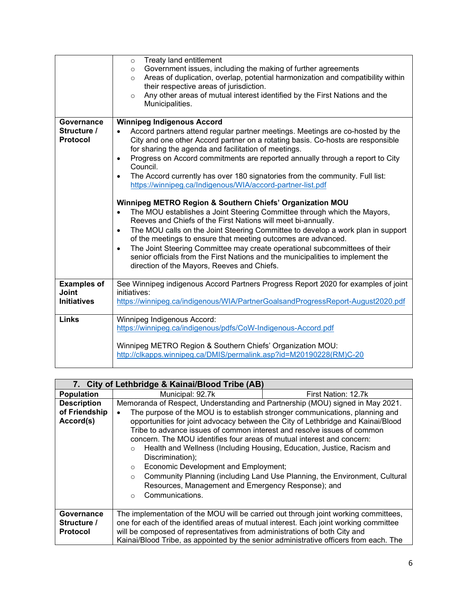|                                                          | Treaty land entitlement<br>$\circ$<br>Government issues, including the making of further agreements<br>$\circ$<br>Areas of duplication, overlap, potential harmonization and compatibility within<br>$\circ$<br>their respective areas of jurisdiction.<br>Any other areas of mutual interest identified by the First Nations and the<br>$\circ$<br>Municipalities.                                                                                                                                                                                                                                                                                                                                                                                                                                                                                                                                                                                                                                                                                                                                                                                           |
|----------------------------------------------------------|---------------------------------------------------------------------------------------------------------------------------------------------------------------------------------------------------------------------------------------------------------------------------------------------------------------------------------------------------------------------------------------------------------------------------------------------------------------------------------------------------------------------------------------------------------------------------------------------------------------------------------------------------------------------------------------------------------------------------------------------------------------------------------------------------------------------------------------------------------------------------------------------------------------------------------------------------------------------------------------------------------------------------------------------------------------------------------------------------------------------------------------------------------------|
| Governance<br>Structure /<br><b>Protocol</b>             | <b>Winnipeg Indigenous Accord</b><br>Accord partners attend regular partner meetings. Meetings are co-hosted by the<br>$\bullet$<br>City and one other Accord partner on a rotating basis. Co-hosts are responsible<br>for sharing the agenda and facilitation of meetings.<br>Progress on Accord commitments are reported annually through a report to City<br>$\bullet$<br>Council.<br>The Accord currently has over 180 signatories from the community. Full list:<br>$\bullet$<br>https://winnipeg.ca/Indigenous/WIA/accord-partner-list.pdf<br>Winnipeg METRO Region & Southern Chiefs' Organization MOU<br>The MOU establishes a Joint Steering Committee through which the Mayors,<br>$\bullet$<br>Reeves and Chiefs of the First Nations will meet bi-annually.<br>The MOU calls on the Joint Steering Committee to develop a work plan in support<br>٠<br>of the meetings to ensure that meeting outcomes are advanced.<br>The Joint Steering Committee may create operational subcommittees of their<br>$\bullet$<br>senior officials from the First Nations and the municipalities to implement the<br>direction of the Mayors, Reeves and Chiefs. |
| <b>Examples of</b><br><b>Joint</b><br><b>Initiatives</b> | See Winnipeg indigenous Accord Partners Progress Report 2020 for examples of joint<br>initiatives:<br>https://winnipeg.ca/indigenous/WIA/PartnerGoalsandProgressReport-August2020.pdf                                                                                                                                                                                                                                                                                                                                                                                                                                                                                                                                                                                                                                                                                                                                                                                                                                                                                                                                                                         |
| <b>Links</b>                                             | Winnipeg Indigenous Accord:<br>https://winnipeg.ca/indigenous/pdfs/CoW-Indigenous-Accord.pdf<br>Winnipeg METRO Region & Southern Chiefs' Organization MOU:<br>http://clkapps.winnipeg.ca/DMIS/permalink.asp?id=M20190228(RM)C-20                                                                                                                                                                                                                                                                                                                                                                                                                                                                                                                                                                                                                                                                                                                                                                                                                                                                                                                              |

| 7. City of Lethbridge & Kainai/Blood Tribe (AB) |                                                                                                                                                                                                                                                                                                                                                                                                                                                                                                                                                                                   |                     |  |  |
|-------------------------------------------------|-----------------------------------------------------------------------------------------------------------------------------------------------------------------------------------------------------------------------------------------------------------------------------------------------------------------------------------------------------------------------------------------------------------------------------------------------------------------------------------------------------------------------------------------------------------------------------------|---------------------|--|--|
| <b>Population</b>                               | Municipal: 92.7k                                                                                                                                                                                                                                                                                                                                                                                                                                                                                                                                                                  | First Nation: 12.7k |  |  |
| <b>Description</b><br>of Friendship             | Memoranda of Respect, Understanding and Partnership (MOU) signed in May 2021.<br>The purpose of the MOU is to establish stronger communications, planning and                                                                                                                                                                                                                                                                                                                                                                                                                     |                     |  |  |
| Accord(s)                                       | opportunities for joint advocacy between the City of Lethbridge and Kainai/Blood<br>Tribe to advance issues of common interest and resolve issues of common<br>concern. The MOU identifies four areas of mutual interest and concern:<br>Health and Wellness (Including Housing, Education, Justice, Racism and<br>$\circ$<br>Discrimination);<br>Economic Development and Employment;<br>$\circ$<br>Community Planning (including Land Use Planning, the Environment, Cultural<br>$\circ$<br>Resources, Management and Emergency Response); and<br>Communications.<br>$\bigcirc$ |                     |  |  |
| Governance<br>Structure /                       | The implementation of the MOU will be carried out through joint working committees,<br>one for each of the identified areas of mutual interest. Each joint working committee                                                                                                                                                                                                                                                                                                                                                                                                      |                     |  |  |
| <b>Protocol</b>                                 | will be composed of representatives from administrations of both City and<br>Kainai/Blood Tribe, as appointed by the senior administrative officers from each. The                                                                                                                                                                                                                                                                                                                                                                                                                |                     |  |  |